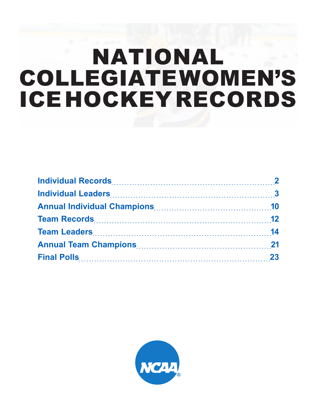# NATIONAL COLLEGIATE WOMEN'S ICE HOCKEY RECORDS

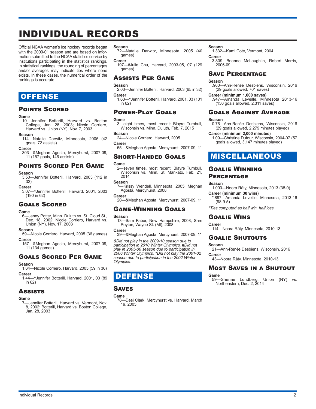## INDIVIDUAL RECORDS

Official NCAA women's ice hockey records began with the 2000-01 season and are based on information submitted to the NCAA statistics service by institutions participating in the statistics rankings. In statistical rankings, the rounding of percentages and/or averages may indicate ties where none exists. In these cases, the numerical order of the rankings is accurate.

## OFFENSE

#### Points Scored

#### **Game**

10—Jennifer Botterill, Harvard vs. Boston College, Jan. 28, 2003; Nicole Corriero, Harvard vs. Union (NY), Nov. 7, 2003

#### **Season**

114—Natalie Darwitz, Minnesota, 2005 (42 goals, 72 assists)

**Career**

303—&Meghan Agosta, Mercyhurst, 2007-09, 11 (157 goals, 146 assists)

#### Points Scored Per Game

#### **Season**

3.50—Jennifer Botterill, Harvard, 2003 (112 in  $32)$ 

**Career**

3.07—^Jennifer Botterill, Harvard, 2001, 2003 (190 in 62)

#### Goals Scored

#### **Game**

6—Jenny Potter, Minn. Duluth vs. St. Cloud St., Dec. 18, 2002; Nicole Corriero, Harvard vs. Union (NY), Nov. 17, 2003

#### **Season**

- 59—Nicole Corriero, Harvard, 2005 (36 games) **Career**
- 157—&Meghan Agosta, Mercyhurst, 2007-09, 11 (134 games)

#### Goals Scored Per Game

#### **Season**

- 1.64—Nicole Corriero, Harvard, 2005 (59 in 36) **Career**
- 1.44—^Jennifer Botterill, Harvard, 2001, 03 (89 in 62)

#### Assists

#### **Game**

-Jennifer Botterill, Harvard vs. Vermont, Nov. 8, 2002; Botterill, Harvard vs. Boston College, Jan. 28, 2003

- **Season**
- 72—Natalie Darwitz, Minnesota, 2005 (40 games)

**Career**

197—#Julie Chu, Harvard, 2003-05, 07 (129 games)

#### Assists Per Game

#### **Season**

- 2.03—Jennifer Botterill, Harvard, 2003 (65 in 32) **Career** 1.63—^Jennifer Botterill, Harvard, 2001, 03 (101
- in 62)

#### Power-Play Goals

## **Game**

3—eight times, most recent: Blayre Turnbull, Wisconsin vs. Minn. Duluth, Feb. 7, 2015

#### **Season**

24—Nicole Corriero, Harvard, 2005

**Career**

55—&Meghan Agosta, Mercyhurst, 2007-09, 11

#### Short-Handed Goals

#### **Game**

2—seven times, most recent: Blayre Turnbull, Wisconsin vs. Minn. St. Mankato, Feb. 21, 2014

#### **Season**

7—Krissy Wendell, Minnesota, 2005; Meghan Agosta, Mercyhurst, 2008

**Career**

20—&Meghan Agosta, Mercyhurst, 2007-09, 11

#### Game-Winning Goals

### **Season**

-Sam Faber, New Hampshire, 2008; Sam Poyton, Wayne St. (MI), 2008

#### **Career**

39—&Meghan Agosta, Mercyhurst, 2007-09, 11

*&Did not play in the 2009-10 season due to participation in 2010 Winter Olympics. #Did not play in 2005-06 season due to participation in 2006 Winter Olympics. ^Did not play the 2001-02 season due to participation in the 2002 Winter Olympics.*

## DEFENSE

#### Saves

#### **Game**

78—Desi Clark, Mercyhurst vs. Harvard, March 19, 2005

#### **Season**

1,332—Kami Cote, Vermont, 2004

**Career**

3,809—Brianne McLaughlin, Robert Morris, 2006-09

#### Save Percentage

#### **Season**

.960—Ann-Renée Desbiens, Wisconsin, 2016 (29 goals allowed, 701 saves)

- **Career (minimum 1,000 saves)**
	- .947—Amanda Leveille, Minnesota 2013-16 (130 goals allowed, 2,311 saves)

#### Goals Against Average

#### **Season**

- 0.76—Ann-Renée Desbiens, Wisconsin, 2016 (29 goals allowed, 2,279 minutes played)
- **Career (minimum 2,000 minutes)**
	- 1.09—Christine Dufour, Wisconsin, 2004-07 (57 goals allowed, 3,147 minutes played)

## MISCELLANEOUS

#### Goalie Winning **PERCENTAGE**

#### **Season**

- 1.000—Noora Räty, Minnesota, 2013 (38-0) **Career (minimum 30 wins)**
	- \*.897—Amanda Leveille, Minnesota, 2013-16 (98-9-5)
- *\*Ties computed as half win, half loss.*

#### Goalie Wins

#### **Career**

114—Noora Räty, Minnesota, 2010-13

#### Goalie Shutouts

#### **Season**

21—Ann-Renée Desbiens, Wisconsin, 2016 **Career**

43—Noora Räty, Minnesota, 2010-13

#### Most Saves in a Shutout

**Game**

59—Shenae Lundberg, Union (NY) vs. Northeastern, Dec. 2, 2014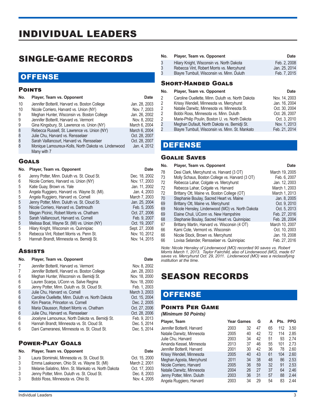## INDIVIDUAL LEADERS

## SINGLE-GAME RECORDS

## **OFFENSE**

#### **POINTS**

| No. | Player, Team vs. Opponent                            | <b>Date</b>   |
|-----|------------------------------------------------------|---------------|
| 10  | Jennifer Botterill, Harvard vs. Boston College       | Jan. 28, 2003 |
| 10  | Nicole Corriero, Harvard vs. Union (NY)              | Nov. 7, 2003  |
| 9   | Meghan Hunter, Wisconsin vs. Boston College          | Jan. 26, 2002 |
| 9   | Jennifer Botterill, Harvard vs. Vermont              | Nov. 8. 2002  |
| 9   | Gina Kingsbury, St. Lawrence vs. Union (NY)          | March 6, 2004 |
| 8   | Rebecca Russell, St. Lawrence vs. Union (NY)         | March 6, 2004 |
| 8   | Julie Chu, Harvard vs. Rensselaer                    | Oct. 28, 2007 |
| 8   | Sarah Vaillancourt, Harvard vs. Rensselaer           | Oct. 28, 2007 |
| 8   | Monique Lamoureux-Kolls, North Dakota vs. Lindenwood | Jan. 4, 2012  |
|     | Many with 7                                          |               |

#### **GOALS**

| No. | Player, Team vs. Opponent                    | Date           |
|-----|----------------------------------------------|----------------|
| 6   | Jenny Potter, Minn. Duluth vs. St. Cloud St. | Dec. 18, 2002  |
| 6   | Nicole Corriero, Harvard vs. Union (NY)      | Nov. 17, 2003  |
| 5   | Katie Guay, Brown vs. Yale                   | Jan. 11, 2002  |
| 5   | Angela Ruggiero, Harvard vs. Wayne St. (MI). | Jan. 4, 2003   |
| 5   | Angela Ruggiero, Harvard vs. Cornell         | March 7, 2003  |
| 5   | Jenny Potter, Minn. Duluth vs. St. Cloud St. | Jan. 25, 2004  |
| 5   | Nicole Corriero, Harvard vs. Dartmouth       | Feb. 5, 2005   |
| 5   | Megan Picinic, Robert Morris vs. Chatham     | Oct. 27, 2006  |
| 5   | Sarah Vaillancourt, Harvard vs. Cornell      | Feb. 9, 2007   |
| 5   | Melissa Boal, Wayne St. (MI) vs. Union (NY)  | Oct. 19, 2007  |
| 5   | Hilary Knight, Wisconsin vs. Quinnipiac      | Sept. 27, 2008 |
| 5   | Rebecca Vint, Robert Morris vs. Penn St.     | Nov. 10, 2012  |
| 5   | Hannah Brandt, Minnesota vs. Bemidji St.     | Nov. 14, 2015  |

### **Assists**

| No. | Player, Team vs. Opponent                         | <b>Date</b>   |
|-----|---------------------------------------------------|---------------|
|     | Jennifer Botterill, Harvard vs. Vermont           | Nov. 8, 2002  |
|     | Jennifer Botterill, Harvard vs. Boston College    | Jan. 28, 2003 |
| 6   | Meghan Hunter, Wisconsin vs. Bemidji St.          | Nov. 18, 2000 |
| 6   | Lauren Scarpa, UConn vs. Salve Regina             | Nov. 18, 2000 |
| 6   | Jenny Potter, Minn. Duluth vs. St. Cloud St.      | Feb. 1, 2003  |
| 6   | Julie Chu, Harvard vs. Cornell                    | March 3, 2003 |
| 6   | Caroline Ouellette, Minn. Duluth vs. North Dakota | Oct. 15, 2004 |
| 6   | Kim Pearce, Princeton vs. Cornell                 | Dec. 2, 2005  |
| 6   | Maria Olausson, Robert Morris vs. Chatham         | Oct. 27, 2006 |
| 6   | Julie Chu, Harvard vs. Rensselaer                 | Oct. 28, 2006 |
| 6   | Jocelyne Lamoureux, North Dakota vs. Bemidji St.  | Feb. 9, 2013  |
| 6   | Hannah Brandt, Minnesota vs. St. Cloud St.        | Dec. 5, 2014  |
| 6   | Dani Cameranesi, Minnesota vs. St. Cloud St.      | Dec. 5, 2014  |
|     |                                                   |               |

### Power-Play Goals

| No. | Player, Team vs. Opponent                            | Date          |
|-----|------------------------------------------------------|---------------|
| 3   | Laura Slominski, Minnesota vs. St. Cloud St.         | Oct. 15, 2000 |
| 3   | Emma Laaksonen, Ohio St. vs. Wayne St. (MI)          | March 2, 2001 |
| 3   | Melanie Salatino, Minn. St. Mankato vs. North Dakota | Oct. 17, 2003 |
| 3   | Jenny Potter, Minn. Duluth vs. St. Cloud St.         | Dec. 8, 2003  |
| 3   | Bobbi Ross, Minnesota vs. Ohio St.                   | Nov. 4. 2005  |
|     |                                                      |               |

#### **No.** Player, Team vs. Opponent **Date Date**

| Hilary Knight, Wisconsin vs. North Dakota   | Feb. 2, 2008  |
|---------------------------------------------|---------------|
| Rebecca Vint, Robert Morris vs. Mercyhurst  | Jan. 25, 2014 |
| Blayre Turnbull, Wisconsin vs. Minn. Duluth | Feb. 7, 2015  |

#### Short-Handed Goals

| No.            | Player, Team vs. Opponent                         | Date          |
|----------------|---------------------------------------------------|---------------|
| 2              | Caroline Ouellette, Minn. Duluth vs. North Dakota | Nov. 14, 2003 |
| 2              | Krissy Wendell, Minnesota vs. Mercyhurst          | Jan. 16, 2004 |
| 2              | Natalie Darwitz, Minnesota vs. Minnesota St.      | Oct. 30, 2004 |
| 2              | Bobbi Ross, Minnesota vs. Minn. Duluth            | Oct. 26, 2007 |
| 2              | Marie-Philip Poulin, Boston U. vs. North Dakota   | Oct. 3, 2010  |
| $\overline{2}$ | Meghan Dufault, North Dakota vs. Bemidji St.      | Nov. 1, 2013  |
| $\overline{2}$ | Blayre Turnbull, Wisconsin vs. Minn. St. Mankato  | Feb. 21, 2014 |

## DEFENSE

#### Goalie Saves

| No. | Player, Team vs. Opponent                        | Date           |
|-----|--------------------------------------------------|----------------|
| 78  | Desi Clark, Mercyhurst vs. Harvard (3 OT)        | March 19, 2005 |
| 73  | Molly Schaus, Boston College vs. Harvard (3 OT)  | Feb. 6, 2007   |
| 72  | Rebecca Lahar, Colgate vs. Mercyhurst            | Jan. 12, 2003  |
| 72  | Rebecca Lahar, Colgate vs. Harvard               | March 1, 2003  |
| 72  | Brittany Ott, Maine vs. Boston College (OT)      | March 1, 2013  |
| 70  | Stephanie Boulay, Sacred Heart vs. Maine         | Jan. 8, 2005   |
| 69  | Brittany Ott, Maine vs. Mercyhurst               | Oct. 9. 2010   |
| 69  | Nicole Hensley, Lindenwood (MO) vs. North Dakota | Oct. 5, 2013   |
| 69  | Elaine Chuli, UConn vs. New Hampshire            | Feb. 27, 2016  |
| 68  | Stephanie Boulay, Sacred Heart vs. Quinnipiac    | Feb. 28, 2004  |
| 67  | Brittany Martin, Harvard vs. Wisconsin (4 OT)    | March 10, 2007 |
| 66  | Kami Cote, Vermont vs. Wisconsin                 | Oct. 10, 2003  |
| 66  | Nicole Stock, Brown vs. Mercyhurst               | Jan. 19, 2008  |
| 66  | Lovisa Selander, Rensselaer vs. Quinnipiac       | Feb. 27, 2016  |

*Note: Nicole Hensley of Lindenwood (MO) recorded 90 saves vs. Robert Morris March 1, 2013. Taylor Fairchild, also of Lindenwood (MO), made 67 saves vs. Mercyhurst Oct. 29, 2011. Lindenwood (MO) was a reclassifying institution at the time.*

## SEASON RECORDS

## **OFFENSE**

#### Points Per Game

*(Minimum 50 Points)*

| Player, Team                | <b>Year Games</b> |    | G  | А  | Pts. | <b>PPG</b> |
|-----------------------------|-------------------|----|----|----|------|------------|
| Jennifer Botterill, Harvard | 2003              | 32 | 47 | 65 | 112  | 3.50       |
| Natalie Darwitz, Minnesota  | 2005              | 40 | 42 | 72 | 114  | 2.85       |
| Julie Chu, Harvard          | 2003              | 34 | 42 | 51 | 93   | 2.74       |
| Amanda Kessel, Minnesota    | 2013              | 37 | 46 | 55 | 101  | 2.73       |
| Jennifer Botterill, Harvard | 2001              | 30 | 42 | 36 | 78   | 2.60       |
| Krissy Wendell, Minnesota   | 2005              | 40 | 43 | 61 | 104  | 2.60       |
| Meghan Agosta, Mercyhurst   | 2011              | 34 | 38 | 48 | 86   | 2.53       |
| Nicole Corriero, Harvard    | 2005              | 36 | 59 | 32 | 91   | 2.53       |
| Natalie Darwitz, Minnesota  | 2004              | 26 | 27 | 37 | 64   | 2.46       |
| Jenny Potter, Minn. Duluth  | 2003              | 36 | 31 | 57 | 88   | 2.44       |
| Angela Ruggiero, Harvard    | 2003              | 34 | 29 | 54 | 83   | 2.44       |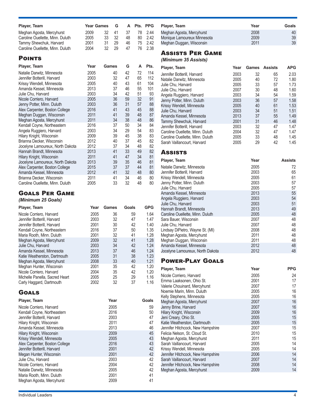| Player, Team                                                                                                                                                                                                                                                                                                                                                                                                         | <b>Year Games</b>                                                                                            |                | G                                                                                                    | A                                      | Pts.                                                                             | <b>PPG</b>                                                                                                   |
|----------------------------------------------------------------------------------------------------------------------------------------------------------------------------------------------------------------------------------------------------------------------------------------------------------------------------------------------------------------------------------------------------------------------|--------------------------------------------------------------------------------------------------------------|----------------|------------------------------------------------------------------------------------------------------|----------------------------------------|----------------------------------------------------------------------------------|--------------------------------------------------------------------------------------------------------------|
| Meghan Agosta, Mercyhurst<br>Caroline Ouellette, Minn. Duluth<br>Tammy Shewchuk, Harvard                                                                                                                                                                                                                                                                                                                             | 2009<br>2005<br>2001                                                                                         | 32<br>33<br>31 | 41<br>32<br>29                                                                                       | 37<br>48<br>46<br>47                   | 78<br>80<br>75<br>76                                                             | 2.44<br>2.42<br>2.42                                                                                         |
| Caroline Ouellette, Minn. Duluth<br><b>POINTS</b>                                                                                                                                                                                                                                                                                                                                                                    | 2004                                                                                                         | 32             | 29                                                                                                   |                                        |                                                                                  | 2.38                                                                                                         |
| Player, Team                                                                                                                                                                                                                                                                                                                                                                                                         | Year                                                                                                         | Games          |                                                                                                      | G                                      | А                                                                                | Pts.                                                                                                         |
| Natalie Darwitz, Minnesota<br>Jennifer Botterill, Harvard<br>Krissy Wendell, Minnesota<br>Amanda Kessel, Minnesota<br>Julie Chu, Harvard<br>Nicole Corriero, Harvard<br>Jenny Potter, Minn. Duluth                                                                                                                                                                                                                   | 2005<br>2003<br>2005<br>2013<br>2003<br>2005<br>2003                                                         |                | 40<br>32<br>40<br>37<br>34<br>36<br>36                                                               | 42<br>47<br>43<br>46<br>42<br>59<br>31 | 72<br>65<br>61<br>55<br>51<br>32<br>57                                           | 114<br>112<br>104<br>101<br>93<br>91<br>88                                                                   |
| Alex Carpenter, Boston College<br>Meghan Duggan, Wisconsin<br>Meghan Agosta, Mercyhurst<br>Kendall Coyne, Northeastern                                                                                                                                                                                                                                                                                               | 2016<br>2011<br>2011<br>2016                                                                                 |                | 41<br>41<br>34<br>37                                                                                 | 43<br>39<br>38<br>50                   | 45<br>48<br>48<br>34                                                             | 88<br>87<br>86<br>84                                                                                         |
| Angela Ruggiero, Harvard<br>Hilary Knight, Wisconsin<br>Brianna Decker, Wisconsin<br>Jocelyne Lamoureux, North Dakota<br>Hannah Brandt, Minnesota                                                                                                                                                                                                                                                                    | 2003<br>2009<br>2012<br>2012<br>2013                                                                         |                | 34<br>39<br>40<br>37<br>41                                                                           | 29<br>45<br>37<br>34<br>33             | 54<br>38<br>45<br>48<br>49                                                       | 83<br>83<br>82<br>82<br>82                                                                                   |
| Hilary Knight, Wisconsin<br>Jocelyne Lamoureux, North Dakota<br>Alex Carpenter, Boston College<br>Amanda Kessel, Minnesota<br>Brianna Decker, Wisconsin                                                                                                                                                                                                                                                              | 2011<br>2013<br>2015<br>2012<br>2011                                                                         |                | 41<br>39<br>37<br>41<br>41                                                                           | 47<br>35<br>37<br>32<br>34             | 34<br>46<br>44<br>48<br>46                                                       | 81<br>81<br>81<br>80<br>80                                                                                   |
| Caroline Ouellette, Minn. Duluth                                                                                                                                                                                                                                                                                                                                                                                     | 2005                                                                                                         |                | 33                                                                                                   | 32                                     | 48                                                                               | 80                                                                                                           |
| <b>GOALS PER GAME</b><br>(Minimum 25 Goals)                                                                                                                                                                                                                                                                                                                                                                          |                                                                                                              |                |                                                                                                      |                                        |                                                                                  |                                                                                                              |
| Player, Team                                                                                                                                                                                                                                                                                                                                                                                                         | Year                                                                                                         | Games          |                                                                                                      | Goals                                  |                                                                                  | <b>GPG</b>                                                                                                   |
| Nicole Corriero, Harvard<br>Jennifer Botterill, Harvard<br>Jennifer Botterill, Harvard<br>Kendall Coyne, Northeastern<br>Maria Rooth, Minn. Duluth<br>Meghan Agosta, Mercyhurst<br>Julie Chu, Harvard<br>Amanda Kessel, Minnesota<br>Katie Weatherston, Dartmouth<br>Meghan Agosta, Mercyhurst<br>Meghan Hunter, Wisconsin<br>Nicole Corriero, Harvard<br>Michelle Panella, Sacred Heart<br>Carly Haggard, Dartmouth | 2005<br>2003<br>2001<br>2016<br>2001<br>2009<br>2003<br>2013<br>2005<br>2008<br>2001<br>2004<br>2005<br>2002 |                | 36<br>32<br>30<br>37<br>32<br>32<br>34<br>37<br>31<br>33<br>35<br>35<br>25<br>32                     |                                        | 59<br>47<br>42<br>50<br>41<br>41<br>42<br>46<br>38<br>40<br>42<br>42<br>29<br>37 | 1.64<br>1.47<br>1.40<br>1.35<br>1.28<br>1.28<br>1.24<br>1.24<br>1.23<br>1.21<br>1.20<br>1.20<br>1.16<br>1.16 |
| <b>GOALS</b>                                                                                                                                                                                                                                                                                                                                                                                                         |                                                                                                              |                |                                                                                                      |                                        |                                                                                  |                                                                                                              |
| Player, Team<br>Nicole Corriero, Harvard<br>Kendall Coyne, Northeastern<br>Jennifer Botterill, Harvard<br>Hilary Knight, Wisconsin<br>Amanda Kessel, Minnesota<br>Hilary Knight, Wisconsin<br>Krissy Wendell, Minnesota<br>Alex Carpenter, Boston College<br>Jennifer Botterill, Harvard<br>Megan Hunter, Wisconsin<br>Julie Chu, Harvard<br>Nicole Corriero, Harvard<br>Natalie Darwitz, Minnesota                  |                                                                                                              |                | Year<br>2005<br>2016<br>2003<br>2011<br>2013<br>2009<br>2005<br>2016<br>2001<br>2001<br>2003<br>2004 |                                        |                                                                                  | Goals<br>59<br>50<br>47<br>47<br>46<br>45<br>43<br>43<br>42<br>42<br>42<br>42<br>42                          |

| Player, Team                | Year | Goals |
|-----------------------------|------|-------|
| Meghan Agosta, Mercyhurst   | 2008 | 40    |
| Monique Lamoureux Minnesota | 2009 | 39    |
| Meghan Duggan, Wisconsin    | 2011 | 39    |

## Assists Per Game

*(Minimum 35 Assists)*

| Player, Team                      | Year | Games | Assists | APG            |
|-----------------------------------|------|-------|---------|----------------|
| Jennifer Botterill, Harvard       | 2003 | 32    | 65      | 2.03           |
| Natalie Darwitz, Minnesota        | 2005 | 40    | 72      | 1.80           |
| Julie Chu, Harvard                | 2005 | 33    | 57      | 1.73           |
| Julie Chu, Harvard                | 2007 | 30    | 48      | 1.60           |
| Angela Ruggiero, Harvard          | 2003 | 34    | 54      | 1.59           |
| Jenny Potter, Minn. Duluth        | 2003 | 36    | 57      | 1.58           |
| Krissy Wendell, Minnesota         | 2005 | 40    | 61      | 1.53           |
| Julie Chu, Harvard                | 2003 | 34    | 51      | 1.51           |
| Amanda Kessel, Minnesota          | 2013 | 37    | 55      | 1.49           |
| Tammy Shewchuk, Harvard           | 2001 | 31    | 46      | 1.48           |
| Jennifer Botterill, Harvard       | 2003 | 32    | 47      | 1.47           |
| Caroline Ouellette, Minn. Duluth  | 2004 | 32    | 47      | 1.47           |
| Caroline Ouellette, Minn. Duluth  | 2005 | 33    | 48      | 1.45           |
| Sarah Vaillancourt, Harvard       | 2005 | 29    | 42      | 1.45           |
| <b>ASSISTS</b>                    |      |       |         |                |
| Player, Team                      |      | Year  |         | <b>Assists</b> |
| Natalie Darwitz, Minnesota        |      | 2005  |         | 72             |
| Jennifer Botterill. Harvard       |      | 2003  |         | 65             |
| Krissy Wendell, Minnesota         |      | 2005  |         | 61             |
| Jenny Potter, Minn. Duluth        |      | 2003  |         | 57             |
| Julie Chu, Harvard                |      | 2005  |         | 57             |
| Amanda Kessel, Minnesota          |      | 2013  |         | 55             |
| Angela Ruggiero, Harvard          |      | 2003  |         | 54             |
| Julie Chu, Harvard                |      | 2003  |         | 51             |
| Hannah Brandt, Minnesota          |      | 2013  |         | 49             |
| Caroline Ouellette, Minn. Duluth  |      | 2005  |         | 48             |
| Sara Bauer, Wisconsin             |      | 2007  |         | 48             |
| Julie Chu, Harvard                |      | 2007  |         | 48             |
| Lindsay DiPietro, Wayne St. (MI)  |      | 2008  |         | 48             |
| Meghan Agosta, Mercyhurst         |      | 2011  |         | 48             |
| Meghan Duggan, Wisconsin          |      | 2011  |         | 48             |
| Amanda Kessel, Minnesota          |      | 2012  |         | 48             |
| Jocelyne Lamoureux, North Dakota  |      | 2012  |         | 48             |
| <b>POWER-PLAY GOALS</b>           |      |       |         |                |
| Player, Team                      |      | Year  |         | <b>PPG</b>     |
| Nicole Corriero, Harvard          |      | 2005  |         | 24             |
| Emma Laaksonen, Ohio St.          |      | 2001  |         | 17             |
| Valerie Chouinard, Mercyhurst     |      | 2007  |         | 17             |
| Noemie Marin, Minn. Duluth        |      | 2005  |         | 16             |
| Kelly Stephens, Minnesota         |      | 2005  |         | 16             |
| Meghan Agosta, Mercyhurst         |      | 2007  |         | 16             |
| Jenny Brine, Harvard              |      | 2007  |         | 16             |
| Hilary Knight, Wisconsin          |      | 2009  |         | 16             |
| Jeni Creary, Ohio St.             |      | 2005  |         | 15             |
| Katie Weatherston, Dartmouth      |      | 2005  |         | 15             |
| Jennifer Hitchcock, New Hampshire |      | 2007  |         | 15             |
| Felicia Nelson, St. Cloud St.     |      | 2010  |         | 15             |
| Meghan Agosta, Mercyhurst         |      | 2011  |         | 15             |
| Sarah Vaillancourt, Harvard       |      | 2005  |         | 14             |
| Krissy Wendell, Minnesota         |      | 2005  |         | 14             |
| Jennifer Hitchcock, New Hampshire |      | 2006  |         | 14             |
| Sarah Vaillancourt, Harvard       |      | 2007  |         | 14             |
| Jennifer Hitchcock, New Hampshire |      | 2008  |         | 14             |
| Meghan Agosta, Mercyhurst         |      | 2009  |         | 14             |
|                                   |      |       |         |                |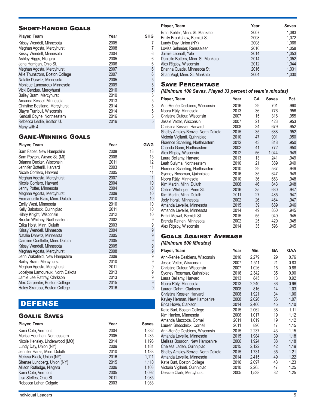### Short-Handed Goals

| Player, Team                    | Year | <b>SHG</b> |
|---------------------------------|------|------------|
| Krissy Wendell, Minnesota       | 2005 | 7          |
| Meghan Agosta, Mercyhurst       | 2008 | 7          |
| Krissy Wendell, Minnesota       | 2004 | 6          |
| Ashley Riggs, Niagara           | 2005 | 6          |
| Jana Harrigan, Ohio St.         | 2006 | 6          |
| Meghan Agosta, Mercyhurst       | 2007 | 6          |
| Allie Thunstrom, Boston College | 2007 | 6          |
| Natalie Darwitz, Minnesota      | 2005 | 5          |
| Monique Lamoureux Minnesota     | 2009 | 5          |
| Vicki Bendus, Mercyhurst        | 2010 | 5          |
| Bailey Bram, Mercyhurst         | 2010 | 5          |
| Amanda Kessel, Minnesota        | 2013 | 5          |
| Christine Bestland, Mercyhurst  | 2014 | 5          |
| Blayre Turnbull, Wisconsin      | 2014 | 5          |
| Kendall Coyne, Northeastern     | 2016 | 5          |
| Rebecca Leslie, Boston U.       | 2016 | 5          |
| Many with 4                     |      |            |

## Game-Winning Goals

| Player, Team                     | Year | <b>GWG</b>      |
|----------------------------------|------|-----------------|
| Sam Faber, New Hampshire         | 2008 | 13              |
| Sam Poyton, Wayne St. (MI)       | 2008 | 13              |
| Brianna Decker, Wisconsin        | 2011 | 12              |
| Jennifer Botterill, Harvard      | 2003 | 11              |
| Nicole Corriero, Harvard         | 2005 | 11              |
| Meghan Agosta, Mercyhurst        | 2007 | 11              |
| Nicole Corriero, Harvard         | 2004 | 10              |
| Jenny Potter, Minnesota          | 2004 | 10              |
| Meghan Agosta, Mercyhurst        | 2009 | 10              |
| Emmanuelle Blais, Minn. Duluth   | 2010 | 10 <sup>1</sup> |
| Emily West, Minnesota            | 2010 | 10              |
| Kelly Babstock, Quinnipiac       | 2011 | 10              |
| Hilary Knight, Wisconsin         | 2012 | 10              |
| Brooke Whitney, Northeastern     | 2002 | 9               |
| Erika Holst, Minn. Duluth        | 2003 | 9               |
| Krissy Wendell, Minnesota        | 2004 | 9               |
| Natalie Darwitz, Minnesota       | 2005 | 9               |
| Caroline Ouellette, Minn. Duluth | 2005 | 9               |
| Krissy Wendell, Minnesota        | 2005 | 9               |
| Meghan Agosta, Mercyhurst        | 2008 | 9               |
| Jenn Wakefield, New Hampshire    | 2009 | 9               |
| Bailey Bram, Mercyhurst          | 2010 | 9               |
| Meghan Agosta, Mercyhurst        | 2011 | 9               |
| Jocelyne Lamoureux, North Dakota | 2013 | 9               |
| Jamie Lee Rattray, Clarkson      | 2013 | 9               |
| Alex Carpenter, Boston College   | 2015 | 9               |
| Haley Skarupa, Boston College    | 2016 | $\overline{9}$  |

## DEFENSE

#### Goalie Saves

| Player, Team                    | Year | <b>Saves</b> |
|---------------------------------|------|--------------|
| Kami Cote, Vermont              | 2004 | 1,332        |
| Marisa Hourihan, Northeastern   | 2005 | 1,235        |
| Nicole Hensley, Lindenwood (MO) | 2014 | 1,198        |
| Lundy Day, Union (NY)           | 2009 | 1,181        |
| Jennifer Harss, Minn. Duluth    | 2010 | 1,138        |
| Melissa Black, Union (NY)       | 2016 | 1,111        |
| Shenae Lundberg, Union (NY)     | 2015 | 1,110        |
| Allison Rutledge, Niagara       | 2006 | 1,103        |
| Kami Cote, Vermont              | 2005 | 1,092        |
| Lisa Steffes, Ohio St.          | 2011 | 1,085        |
| Rebecca Lahar, Colgate          | 2003 | 1,083        |

#### **Player, Team Year Saves** Britni Kehler, Minn. St. Mankato 2007 1,083 Emily Brookshaw, Bemidji St. 2008 1,072 Lundy Day, Union (NY) 1,066<br>
Lovisa Selander, Rensselaer 1,058<br>
2016 1,058 Lovisa Selander, Rensselaer 2016 1,058 Jaimie Leonoff, Yale 2014 1,053<br>Danielle Butters, Minn. St. Mankato 2014 2014 1,052 Danielle Butters, Minn. St. Mankato 2014 1,052 Alex Rigsby, Wisconsin 2012 1,044<br>Brianna Quade, Minnesota St. 2016 2016 1,031 Brianna Quade, Minnesota St. Shari Vogt, Minn. St. Mankato 2004 2004 1,030

#### Save Percentage

*(Minimum 100 Saves, Played 33 percent of team's minutes)*

| Player, Team                       | Year | <b>GA</b> | <b>Saves</b> | Pct. |
|------------------------------------|------|-----------|--------------|------|
| Ann-Renée Desbiens, Wisconsin      | 2016 | 29        | 701          | .960 |
| Noora Räty, Minnesota              | 2013 | 36        | 776          | .956 |
| Christine Dufour, Wisconsin        | 2007 | 15        | 316          | .955 |
| Jessie Vetter, Wisconsin           | 2007 | 21        | 423          | .953 |
| Christina Kessler, Harvard         | 2008 | 34        | 679          | .952 |
| Shelby Amsley-Benzie, North Dakota | 2015 | 35        | 688          | .952 |
| Victoria Vigilanti, Quinnipiac     | 2010 | 47        | 901          | .950 |
| Florence Schelling, Northeastern   | 2012 | 43        | 818          | .950 |
| Chanda Gunn, Northeastern          | 2002 | 41        | 772          | .950 |
| Alex Rigsby, Wisconsin             | 2012 | 56        | 1,044        | .949 |
| Laura Bellamy, Harvard             | 2013 | 13        | 241          | .949 |
| Leah Sulyma, Northeastern          | 2010 | 21        | 389          | .949 |
| Florence Schelling, Northeastern   | 2010 | 29        | 537          | .949 |
| Sydney Rossman, Quinnipiac         | 2016 | 35        | 647          | .949 |
| Noora Räty, Minnesota              | 2010 | 36        | 663          | .948 |
| Kim Martin, Minn. Duluth           | 2008 | 46        | 843          | .948 |
| Celine Whitlinger, Penn St.        | 2016 | 35        | 630          | .947 |
| Kim Martin, Minn. Duluth           | 2011 | 27        | 485          | .947 |
| Jody Horak, Minnesota              | 2002 | 26        | 464          | .947 |
| Amanda Leveille, Minnesota         | 2015 | 39        | 689          | .946 |
| Amanda Leveille, Minnesota         | 2014 | 49        | 850          | .945 |
| Brittni Mowat, Bemidji St.         | 2015 | 55        | 949          | .945 |
| Brenda Reinen, Minnesota           | 2002 | 25        | 429          | .945 |
| Alex Rigsby, Wisconsin             | 2014 | 35        | 596          | .945 |

### Goals Against Average

*(Minimum 500 Minutes)*

| Player, Team                                                 | Year         | Min.           | <b>GA</b> | <b>GAA</b>   |
|--------------------------------------------------------------|--------------|----------------|-----------|--------------|
| Ann-Renée Desbiens, Wisconsin                                | 2016         | 2,279          | 29        | 0.76         |
| Jessie Vetter, Wisconsin                                     | 2007         | 1,511          | 21        | 0.83         |
| Christine Dufour, Wisconsin                                  | 2007         | 1,026          | 15        | 0.88         |
| Sydney Rossman, Quinnipiac                                   | 2016         | 2,342          | 35        | 0.90         |
| Laura Bellamy, Harvard                                       | 2013         | 845            | 13        | 0.92         |
| Noora Räty, Minnesota                                        | 2013         | 2.240          | 36        | 0.96         |
| Lauren Dahm, Clarkson                                        | 2008         | 816            | 14        | 1.03         |
| Christina Kessler, Harvard                                   | 2008         | 1.921          | 34        | 1.06         |
| Kayley Herman, New Hampshire                                 | 2008         | 2,026          | 36        | 1.07         |
| Erica Howe, Clarkson                                         | 2014         | 2.460          | 45        | 1.10         |
| Katie Burt, Boston College                                   | 2015         | 2.062          | 38        | 1.11         |
| Kim Hanlon, Minnesota                                        | 2006         | 1.017          | 19        | 1.12         |
| Amanda Mazzotta, Cornell                                     | 2011         | 1.019          | 19        | 1.12         |
| Lauren Slebodnick, Cornell                                   | 2011         | 890            | 17        | 1.15         |
| Ann-Renée Desbiens, Wisconsin                                | 2015         | 2,237          | 43        | 1.15         |
| Amanda Leveille, Minnesota                                   | 2015         | 1.984          | 39        | 1.18         |
| Melissa Bourdon, New Hampshire                               | 2006         | 1.924          | 38        | 1.18         |
| Chelsea Laden, Quinnipiac                                    | 2015         | 2.122          | 42        | 1.19         |
| Shelby Amsley-Benzie, North Dakota                           | 2015<br>2014 | 1.731          | 35<br>49  | 1.21<br>1.22 |
| Amanda Leveille, Minnesota                                   | 2016         | 2,415<br>2.097 | 43        | 1.23         |
| Katie Burt, Boston College<br>Victoria Vigilanti, Quinnipiac | 2010         | 2,265          | 47        | 1.25         |
| Desirae Clark, Mercyhurst                                    | 2005         | 1,538          | 32        | 1.25         |
|                                                              |              |                |           |              |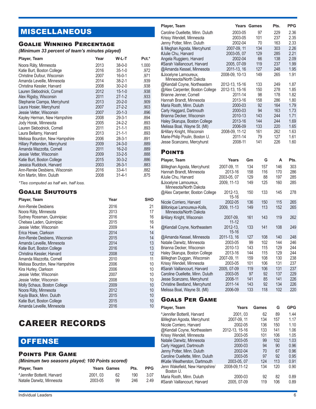## MISCELLANEOUS

#### Goalie Winning Percentage

*(Minimum 33 percent of team's minutes played)*

| Player, Team                   | Year | W-L-T        | Pct.* |
|--------------------------------|------|--------------|-------|
| Noora Räty, Minnesota          | 2013 | $38 - 0 - 0$ | 1.000 |
| Katie Burt, Boston College     | 2016 | $35 - 1 - 0$ | .972  |
| Christine Dufour, Wisconsin    | 2007 | $16 - 0 - 1$ | .971  |
| Amanda Leveille, Minnesota     | 2014 | $38 - 2 - 1$ | .939  |
| Christina Kessler, Harvard     | 2008 | $30 - 2 - 0$ | .938  |
| Lauren Slebodnick, Cornell     | 2012 | $15 - 1 - 0$ | .938  |
| Alex Rigsby, Wisconsin         | 2011 | $27-1-2$     | .933  |
| Stephanie Ciampa, Mercyhurst   | 2013 | $20 - 2 - 0$ | .909  |
| Laura Hosier, Mercyhurst       | 2007 | $27 - 2 - 2$ | .903  |
| Jessie Vetter, Wisconsin       | 2007 | $20 - 1 - 3$ | .896  |
| Kayley Herman, New Hampshire   | 2008 | $29 - 3 - 1$ | .894  |
| Jody Horak, Minnesota          | 2005 | $24 - 2 - 2$ | .893  |
| Lauren Slebodnick, Cornell     | 2011 | $21 - 1 - 1$ | .893  |
| Laura Bellamy, Harvard         | 2013 | $21 - 1 - 1$ | .893  |
| Melissa Bourdon, New Hampshire | 2006 | $28 - 3 - 1$ | .891  |
| Hillary Pattenden, Mercyhurst  | 2009 | $24 - 3 - 0$ | .889  |
| Amanda Mazzotta, Cornell       | 2011 | $16 - 2 - 0$ | .889  |
| Jessie Vetter, Wisconsin       | 2009 | $33 - 2 - 5$ | .888  |
| Katie Burt, Boston College     | 2015 | $30 - 3 - 2$ | .886  |
| Jessica Ruddock, Harvard       | 2003 | $26 - 3 - 1$ | .883  |
| Ann-Renée Desbiens, Wisconsin  | 2016 | $33 - 4 - 1$ | .882  |
| Kim Martin, Minn. Duluth       | 2008 | $31 - 4 - 1$ | .875  |

*\*Ties computed as half win, half loss.*

### **GOALIE SHUTOUTS**

| Player, Team                   | Year | <b>SHO</b> |
|--------------------------------|------|------------|
| Ann-Renée Desbiens             | 2016 | 21         |
| Noora Räty, Minnesota          | 2013 | 17         |
| Sydney Rossman, Quinnipiac     | 2016 | 16         |
| Chelsea Laden, Quinnipiac      | 2015 | 16         |
| Jessie Vetter, Wisconsin       | 2009 | 14         |
| Erica Howe, Clarkson           | 2014 | 14         |
| Ann-Renée Desbiens, Wisconsin  | 2015 | 14         |
| Amanda Leveille, Minnesota     | 2014 | 13         |
| Katie Burt, Boston College     | 2016 | 13         |
| Christina Kessler, Harvard     | 2008 | 12         |
| Amanda Mazzotta, Cornell       | 2010 | 11         |
| Melissa Bourdon, New Hampshire | 2006 | 10         |
| Kira Hurley, Clarkson          | 2006 | 10         |
| Jessie Vetter, Wisconsin       | 2007 | 10         |
| Jessie Vetter, Wisconsin       | 2008 | 10         |
| Molly Schaus, Boston College   | 2009 | 10         |
| Noora Räty, Minnesota          | 2012 | 10         |
| Kayla Black, Minn. Duluth      | 2015 | 10         |
| Katie Burt, Boston College     | 2015 | 10         |
| Amanda Leveille, Minnesota     | 2016 | 10         |

## CAREER RECORDS

## **OFFENSE**

#### Points Per Game

*(Minimum two seasons played; 100 Points scored)*

| Player, Team                             |         | <b>Years Games</b> | Pts. | <b>PPG</b> |
|------------------------------------------|---------|--------------------|------|------------|
| <sup>^</sup> Jennifer Botterill, Harvard | 2001.03 | 62                 | 190  | 3.07       |
| Natalie Darwitz, Minnesota               | 2003-05 | 99                 | 246  | 2.49       |

| Player, Team                                   |                   | Years Games | Pts.       | <b>PPG</b> |
|------------------------------------------------|-------------------|-------------|------------|------------|
| Caroline Ouellette, Minn. Duluth               | 2003-05           | 97          | 229        | 2.36       |
| Krissy Wendell, Minnesota                      | 2003-05           | 101         | 237        | 2.35       |
| Jenny Potter, Minn. Duluth                     | 2002-04           | 70          | 163        | 2.33       |
| & Meghan Agosta, Mercyhurst                    | 2007-09, 11       | 134         | 303        | 2.26       |
| #Julie Chu, Harvard                            | 2003-05, 07       | 129         | 285        | 2.21       |
| Angela Ruggiero, Harvard                       | 2002-04           | 66          | 138        | 2.09       |
| #Sarah Vaillancourt, Harvard                   | 2005, 07-09       | 119         | 237        | 1.99       |
| @Amanda Kessel, Minnesota                      | 2011-13, 16       | 127         | 248        | 1.95       |
| &Jocelyne Lamoureux,<br>Minnesota/North Dakota | 2008-09, 10-13    | 149         | 265        | 1.91       |
| @Kendall Coyne, Northeastern                   | 2012-13, 15-16    | 133         | 249        | 1.87       |
| @Alex Carpenter, Boston College                | 2012-13, 15-16    | 150         | 278        | 1.85       |
| Brianne Jenner, Cornell                        | 2011-14           | 98          | 178        | 1.82       |
| Hannah Brandt, Minnesota                       | 2013-16           | 158         | 286        | 1.80       |
| Maria Rooth, Minn. Duluth                      | 2000-03           | 92          | 164        | 1.79       |
| Carly Haggard, Dartmouth                       | 2000-03           | 94          | 163        | 1.73       |
| Brianna Decker, Wisconsin                      | 2010-13           | 143         | 244        | 1.71       |
| Haley Skarupa, Boston College                  | 2013-16           | 144         | 244        | 1.69       |
| Melissa Boal, Wayne St. (MI)                   | 2006-09           | 133         | 220        | 1.65       |
| &Hillary Knight, Wisconsin                     | 2008-09, 11-12    | 161         | 262        | 1.63       |
| Marie-Philip Poulin, Boston U.                 | 2011-14           | 79          | 127        | 1.61       |
| Jesse Scanzano, Mercyhurst                     | 2008-11           | 141         | 226        | 1.60       |
| <b>POINTS</b>                                  |                   |             |            |            |
|                                                |                   |             |            |            |
| Player, Team                                   | Years             | Gm          | G<br>А     | Pts.       |
| &Meghan Agosta, Mercyhurst                     | 2007-09, 11       | 134         | 157<br>146 | 303        |
| Hannah Brandt, Minnesota                       | 2013-16           | 158         | 116<br>170 | 286        |
| #Julie Chu, Harvard                            | 2003-05, 07       | 129         | 88<br>197  | 285        |
| &Jocelyne Lamoureux,                           | 2009, 11-13       | 149         | 125<br>160 | 285        |
| Minnesota/North Dakota                         | 2012-13,          |             | 133<br>145 | 278        |
| @Alex Carpenter, Boston College                | 15-16             | 150         |            |            |
| Nicole Corriero, Harvard                       | 2002-05           | 136         | 115<br>150 | 265        |
| &Monique Lamoureux-Kolls,                      | 2009, 11-13       | 149         | 113<br>152 | 265        |
| Minnesota/North Dakota                         |                   |             |            |            |
| &Hilary Knight, Wisconsin                      | 2007-09.<br>11-12 | 161         | 143<br>119 | 262        |
| @Kendall Coyne, Northeastern                   | 2012-13,          | 133         | 141<br>108 | 249        |
|                                                | 15-16             |             |            |            |
| @Amanda Kessel, Minnesota                      | 2011-13, 16       | 127         | 108<br>140 | 248        |
| Natalie Darwitz, Minnesota                     | 2003-05           | 99          | 102<br>144 | 246        |
| Brianna Decker, Wisconsin                      | 2010-13           | 143         | 115<br>129 | 244        |
| Haley Skarupa, Boston College                  | 2013-16           | 144         | 115<br>129 | 244        |
| &Meghan Duggan, Wisconsin                      | 2007-09, 11       | 159         | 108<br>130 | 238        |
| Krissy Wendell, Minnesota                      | 2003-05           | 101         | 106<br>131 | 237        |
| #Sarah Vaillancourt, Harvard                   | 2005, 07-09       | 119         | 106<br>131 | 237        |
| Caroline Ouellette, Minn. Duluth               | 2003-05           | 97          | 92<br>137  | 229        |
| Jesse Scanzano, Mercyhurst                     | 2008-11           | 141         | 85<br>141  | 226        |
| Christine Bestland, Mercyhurst                 | 2011-14           | 143         | 92<br>134  | 226        |
| Melissa Boal, Wayne St. (MI)                   | 2006-09           | 133         | 118<br>102 | 220        |
| <b>GOALS PER GAME</b>                          |                   |             |            |            |
| <b>Player Team</b>                             | Voars             | Games       |            | <b>GPG</b> |

| Player, Team                                | Years          | <b>Games</b> | G   | <b>GPG</b> |
|---------------------------------------------|----------------|--------------|-----|------------|
| <sup>^</sup> Jennifer Botterill, Harvard    | 2001, 03       | 62           | 89  | 1.44       |
| &Meghan Agosta, Mercyhurst                  | 2007-09.11     | 134          | 157 | 1.17       |
| Nicole Corriero, Harvard                    | 2002-05        | 136          | 150 | 1.10       |
| @Kendall Coyne, Northeastern                | 2012-13, 15-16 | 133          | 141 | 1.06       |
| Krissy Wendell, Minnesota                   | 2003-05        | 101          | 106 | 1.05       |
| Natalie Darwitz, Minnesota                  | 2003-05        | 99           | 102 | 1.03       |
| Carly Haggard, Dartmouth                    | 2000-03        | 94           | 90  | 0.96       |
| Jenny Potter, Minn. Duluth                  | 2002-04        | 70           | 67  | 0.96       |
| Caroline Ouellette, Minn. Duluth            | 2003-05        | 97           | 92  | 0.95       |
| #Katie Weatherston, Dartmouth               | 2003-05, 07    | 124          | 113 | 0.91       |
| Jenn Wakefield, New Hampshire/<br>Boston U. | 2008-09.11-12  | 134          | 120 | 0.90       |
| Maria Rooth, Minn. Duluth                   | 2000-03        | 92           | 82  | 0.89       |
| #Sarah Vaillancourt. Harvard                | 2005.07-09     | 119          | 106 | 0.89       |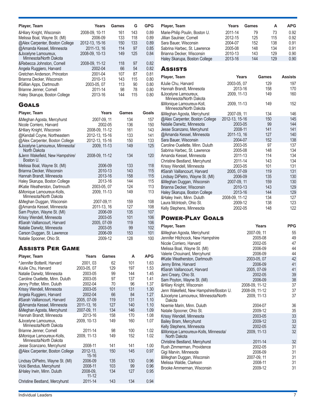| Player, Team                                                    | Years                            | Games              | G            | GPG          |
|-----------------------------------------------------------------|----------------------------------|--------------------|--------------|--------------|
| &Hilary Knight, Wisconsin                                       | 2008-09, 10-11                   | 161                | 143          | 0.89         |
| Melissa Boal, Wayne St. (MI)                                    | 2006-09<br>2012-13, 15-16        | 133<br>150         | 118<br>133   | 0.89<br>0.89 |
| @Alex Carpenter, Boston College<br>@Amanda Kessel, Minnesota    | 2011-13, 16                      | 114                | 97           | 0.85         |
| &Jocelyne Lamoureux,                                            | 2008-09, 10-13                   | 149                | 125          | 0.84         |
| Minnesota/North Dakota                                          |                                  | 118                |              |              |
| &Rebecca Johnston, Cornell<br>Angela Ruggiero, Harvard          | 2008-09, 11-12<br>2002-04        | 66                 | 97<br>54     | 0.82<br>0.82 |
| Gretchen Anderson, Princeton                                    | 2001-04                          | 107                | 87           | 0.81         |
| Brianna Decker, Wisconsin                                       | 2010-13                          | 143                | 115          | 0.80         |
| #Gillian Apps, Dartmouth<br>Brianne Jenner, Cornell             | 2003-05, 07<br>2011-14           | 113<br>98          | 90<br>78     | 0.80<br>0.80 |
| Haley Skarupa, Boston College                                   | 2013-16                          | 144                | 115          | 0.80         |
| <b>GOALS</b>                                                    |                                  |                    |              |              |
| Player, Team                                                    |                                  | Years              | <b>Games</b> | Goals        |
| &Meghan Agosta, Mercyhurst                                      | 2007-09, 11                      |                    | 134          | 157          |
| Nicole Corriero, Harvard                                        |                                  | 2002-05            | 136          | 150          |
| &Hilary Knight, Wisconsin                                       | 2008-09, 11-12                   |                    | 161          | 143          |
| @Kendall Coyne, Northeastern<br>@Alex Carpenter, Boston College | 2012-13, 15-16<br>2012-13, 15-16 |                    | 133<br>150   | 141<br>133   |
| &Jocelyne Lamoureux, Minnesota/                                 | 2009, 11-13                      |                    | 149          | 125          |
| North Dakota<br>&Jenn Wakefield, New Hampshire/                 | 2008-09, 11-12                   |                    | 134          | 120          |
| Boston U.                                                       |                                  |                    |              |              |
| Melissa Boal, Wayne St. (MI)<br>Brianna Decker, Wisconsin       |                                  | 2006-09<br>2010-13 | 133<br>143   | 118<br>115   |
| Hannah Brandt, Minnesota                                        |                                  | 2013-16            | 158          | 115          |
| Haley Skarupa, Boston College                                   |                                  | 2013-16            | 144          | 115          |
| #Katie Weatherston, Dartmouth                                   | 2003-05, 07                      |                    | 124          | 113          |
| &Monique Lamoureux-Kolls,<br>Minnesota/North Dakota             | 2009, 11-13                      |                    | 149          | 113          |
| &Meghan Duggan, Wisconsin                                       | 2007-09,11                       |                    | 159          | 108          |
| @Amanda Kessel, Minnesota<br>Sam Poyton, Wayne St. (MI)         | 2011-13, 16                      | 2006-09            | 127<br>135   | 108<br>107   |
| Krissy Wendell, Minnesota                                       |                                  | 2003-05            | 101          | 106          |
| #Sarah Vaillancourt, Harvard                                    | 2005, 07-09                      |                    | 119          | 106          |
| Natalie Darwitz, Minnesota                                      |                                  | 2003-05            | 99           | 102          |
| Carson Duggan, St. Lawrence<br>Natalie Spooner, Ohio St.        |                                  | 2006-09<br>2009-12 | 153<br>128   | 101<br>100   |
|                                                                 |                                  |                    |              |              |
| <b>ASSISTS PER GAME</b>                                         |                                  |                    |              | <b>APG</b>   |
| Player, Team                                                    | Years                            | Games              | Α            |              |
| <sup>^</sup> Jennifer Botterill, Harvard<br>#Julie Chu, Harvard | 2001, 03<br>2003-05, 07          | 62<br>129          | 101<br>197   | 1.63<br>1.53 |
| Natalie Darwitz, Minnesota                                      | 2003-05                          | 99                 | 144          | 1.45         |
| Caroline Ouellette, Minn. Duluth                                | 2003-05                          | 97                 | 137          | 1.41         |
| Jenny Potter, Minn. Duluth                                      | 2002-04                          | 70                 | 96<br>131    | 1.37         |
| Krissy Wendell, Minnesota<br>Angela Ruggiero, Harvard           | 2003-05<br>2002-04               | 101<br>66          | 84           | 1.30<br>1.27 |
| #Sarah Vaillancourt, Harvard                                    | 2005, 07-09                      | 119                | 131          | 1.10         |
| @Amanda Kessel, Minnesota                                       | 2011-13, 16                      | 127                | 140          | 1.10         |
| &Meghan Agosta, Mercyhurst                                      | 2007-09, 11                      | 134                | 146          | 1.09         |
| Hannah Brandt, Minnesota<br>&Jocelyne Lamoureux,                | 2013-16<br>2009, 10-13           | 158<br>149         | 170<br>160   | 1.08<br>1.07 |
| Minnesota/North Dakota                                          |                                  |                    |              |              |
| Brianne Jenner, Cornell                                         | 2011-14                          | 98                 | 100          | 1.02         |
| &Monique Lamoureux-Kolls,<br>Minnesota/North Dakota             | 2009, 11-13                      | 149                | 152          | 1.02         |
| Jesse Scanzano, Mercyhurst                                      | 2008-11                          | 141                | 141          | 1.00         |
| @Alex Carpenter, Boston College                                 | 2012-13,                         | 150                | 145          | 0.97         |
|                                                                 | 15-16<br>2006-09                 | 135                | 130          | 0.96         |
| Lindsay DiPietro, Wayne St. (MI)<br>Vicki Bendus, Mercyhurst    | 2008-11                          | 103                | 99           | 0.96         |
| &Haley Irwin, Minn. Duluth                                      | 2008-09.                         | 134                | 127          | 0.95         |
|                                                                 | 11-12                            |                    |              |              |
| <b>Christine Bestland, Mercyhurst</b>                           | 2011-14                          | 143                | 134          | 0.94         |

| Player, Team                                                                                                         | Years                                    | Games                   | А                       | APG                          |
|----------------------------------------------------------------------------------------------------------------------|------------------------------------------|-------------------------|-------------------------|------------------------------|
| Marie-Philip Poulin, Boston U.<br>Jillian Saulnier, Cornell<br>Sara Bauer, Wisconsin<br>Sabrina Harbec, St. Lawrence | 2011-14<br>2012-15<br>2004-07<br>2005-08 | 79<br>125<br>152<br>148 | 73<br>115<br>138<br>134 | 0.92<br>0.92<br>0.91<br>0.91 |
| Brianna Decker, Wisconsin                                                                                            | 2010-13                                  | 143                     | 129                     | 0.90                         |
| Haley Skarupa, Boston College                                                                                        | 2013-16                                  | 144                     | 129                     | 0.90                         |
| <b>ASSISTS</b>                                                                                                       |                                          |                         |                         |                              |
| Player, Team                                                                                                         | Years                                    |                         | Games                   | <b>Assists</b>               |
| #Julie Chu, Harvard                                                                                                  | 2003-05.07                               |                         | 129                     | 197                          |
| Hannah Brandt, Minnesota                                                                                             | 2013-16                                  |                         | 158                     | 170                          |
| &Jocelyne Lamoureux,<br>Minnesota/North Dakota                                                                       | 2009, 11-13                              |                         | 149                     | 160                          |
| &Monique Lamoureux-Koll,<br>Minnesota/North Dakota                                                                   | 2009, 11-13                              |                         | 149                     | 152                          |
| &Meghan Agosta, Mercyhurst                                                                                           | 2007-09, 11                              |                         | 134                     | 146                          |
| @Alex Carpenter, Boston College                                                                                      | 2012-13, 15-16                           |                         | 150                     | 145                          |
| Natalie Darwitz, Minnesota                                                                                           | 2003-05                                  |                         | 99                      | 144                          |
| Jesse Scanzano, Mercyhurst                                                                                           | 2008-11                                  |                         | 141                     | 141                          |
| @Amanda Kessel, Minnesota                                                                                            | 2011-13, 16                              |                         | 127                     | 140                          |
| Sara Bauer, Wisconsin                                                                                                | 2004-07                                  |                         | 152                     | 138                          |
| Caroline Ouellette, Minn. Duluth                                                                                     | 2003-05                                  |                         | 97                      | 137                          |
| Sabrina Harbec, St. Lawrence                                                                                         | 2005-08                                  |                         | 148                     | 134                          |
| Amanda Kessel, Minnesota                                                                                             | 2011-13                                  |                         | 114                     | 134                          |
| Christine Bestland, Mercyhurst                                                                                       | 2011-14                                  |                         | 143                     | 134                          |
| Krissy Wendell, Minnesota                                                                                            | 2003-05                                  |                         | 101                     | 131                          |
| #Sarah Vaillancourt, Harvard                                                                                         | 2005, 07-09                              |                         | 119                     | 131                          |
| Lindsay DiPietro, Wayne St. (MI)                                                                                     | 2006-09                                  |                         | 135                     | 130                          |
| &Meghan Duggan, Wisconsin                                                                                            | 2007-09, 11                              |                         | 159                     | 130                          |
| Brianna Decker, Wisconsin                                                                                            | 2010-13                                  |                         | 143                     | 129                          |
| Haley Skarupa, Boston College                                                                                        | 2013-16                                  |                         | 144                     | 129                          |
| &Haley Irwin, Minn. Duluth                                                                                           | 2008-09, 11-12<br>2009-12                |                         | 134                     | 127<br>123                   |
| Laura McIntosh, Ohio St.<br>Kelly Stephens, Minnesota                                                                | 2002-05                                  |                         | 138<br>148              | 122                          |
|                                                                                                                      |                                          |                         |                         |                              |

## Power-Play Goals

| Player, Team                                         | Years          | <b>PPG</b> |
|------------------------------------------------------|----------------|------------|
| &Meghan Agosta, Mercyhurst                           | 2007-09, 11    | 55         |
| Jennifer Hitchcock, New Hampshire                    | 2005-08        | 49         |
| Nicole Corriero, Harvard                             | 2002-05        | 47         |
| Melissa Boal, Wayne St. (MI)                         | 2006-09        | 44         |
| Valerie Chouinard, Mercyhurst                        | 2006-09        | 44         |
| #Katie Weatherston, Dartmouth                        | 2003-05, 07    | 42         |
| Jenny Brine, Harvard                                 | 2006-09        | 41         |
| #Sarah Vaillancourt, Harvard                         | 2005, 07-09    | 41         |
| Jeni Creary, Ohio St.                                | 2002-05        | 39         |
| Sam Poyton, Wayne St. (MI)                           | 2006-09        | 38         |
| &Hilary Knight, Wisconsin                            | 2008-09, 11-12 | 37         |
| Jenn Wakefield, New Hampshire/Boston U.              | 2008-09, 11-12 | 37         |
| &Jocelyne Lamoureux, Minnesota/North<br>Dakota       | 2009, 11-13    | 37         |
| Noemie Marin, Minn. Duluth                           | 2004-07        | 36         |
| Natalie Spooner, Ohio St.                            | 2009-12        | 35         |
| Krissy Wendell, Minnesota                            | 2003-05        | 33         |
| Bailey Bram, Mercyhurst                              | 2009-12        | 33         |
| Kelly Stephens, Minnesota                            | 2002-05        | 32         |
| &Monique Lamoureux-Kolls, Minnesota/<br>North Dakota | 2009, 11-13    | 32         |
| <b>Christine Bestland, Mercyhurst</b>                | 2011-14        | 32         |
| Rush Zimmerman, Providence                           | 2002-05        | 31         |
| Gigi Marvin, Minnesota                               | 2006-09        | 31         |
| &Meghan Duggan, Wisconsin                            | 2007-09, 11    | 31         |
| Melissa Waldie, Clarkson                             | 2008-11        | 31         |
| Brooke Ammerman, Wisconsin                           | 2009-12        | 31         |
|                                                      |                |            |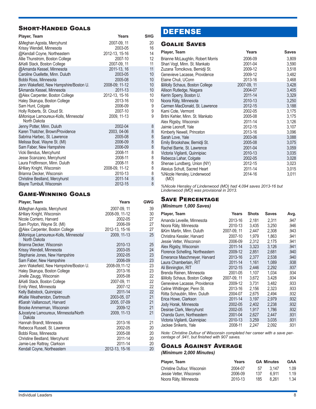### Short-Handed Goals

| Player, Team                                         | Years          | <b>SHG</b>    |
|------------------------------------------------------|----------------|---------------|
| &Meghan Agosta, Mercyhurst                           | 2007-09, 11    | 20            |
| Krissy Wendell, Minnesota                            | 2003-05        | 16            |
| @Kendall Coyne, Northeastern                         | 2012-13, 15-16 | 14            |
| Allie Thunstrom, Boston College                      | 2007-10        | 12            |
| &Kelli Stack, Boston College                         | 2007-09, 11    | 11            |
| @Amanda Kessel, Minnesota                            | 2011-13, 16    | 11            |
| Caroline Ouellette, Minn. Duluth                     | 2003-05        | 10            |
| Bobbi Ross, Minnesota                                | 2005-08        | 10            |
| Jenn Wakefield, New Hampshire/Boston U.              | 2008-09; 11-12 | 10            |
| \$Amanda Kessel, Minnesota                           | 2011-13        | 10            |
| @Alex Carpenter, Boston College                      | 2012-13, 15-16 | 10            |
| Haley Skarupa, Boston College                        | 2013-16        | 10            |
| Sam Hunt, Colgate                                    | 2006-09        | 9             |
| Holly Roberts, St. Cloud St.                         | 2007-10        | 9             |
| &Monique Lamoureux-Kolls, Minnesota/<br>North Dakota | 2009. 11-13    | 9             |
| Jenny Potter, Minn. Duluth                           | 2002-04        | 8             |
| Karen Thatcher, Brown/Providence                     | 2003, 04-06    | 8             |
| Sabrina Harbec, St. Lawrence                         | 2005-08        | 8             |
| Melissa Boal, Wayne St. (MI)                         | 2006-09        | $\frac{8}{8}$ |
| Sam Faber, New Hampshire                             | 2006-09        |               |
| Vicki Bendus, Mercyhurst                             | 2008-11        | $\frac{8}{8}$ |
| Jesse Scanzano, Mercyhurst                           | 2008-11        |               |
| Laura Fridfinnson, Minn. Duluth                      | 2008-11        | $\frac{8}{8}$ |
| &Hilary Knight, Wisconsin                            | 2008-09, 11-12 |               |
| Brianna Decker, Wisconsin                            | 2010-13        | 8             |
| <b>Christine Bestland, Mercyhurst</b>                | 2011-14        | 8             |
| Blayre Turnbull, Wisconsin                           | 2012-15        | 8             |

## Game-Winning Goals

| Player, Team                                                                                                                                                                                                 | Years                                                                                | <b>GWG</b>                       |
|--------------------------------------------------------------------------------------------------------------------------------------------------------------------------------------------------------------|--------------------------------------------------------------------------------------|----------------------------------|
| &Meghan Agosta, Mercyhurst<br>&Hilary Knight, Wisconsin<br>Nicole Corriero, Harvard<br>Sam Poyton, Wayne St. (MI)<br>@Alex Carpenter, Boston College<br>&Monique Lamoureux-Kolls, Minnesota/<br>North Dakota | 2007-09, 11<br>2008-09, 11-12<br>2002-05<br>2006-09<br>2012-13, 15-16<br>2009. 11-13 | 39<br>30<br>27<br>27<br>27<br>25 |
| Brianna Decker, Wisconsin                                                                                                                                                                                    | 2010-13                                                                              | 25                               |
| Krissy Wendell, Minnesota<br>Stephanie Jones, New Hampshire<br>Sam Faber, New Hampshire                                                                                                                      | 2003-05<br>2002-05<br>2006-09                                                        | 24<br>23<br>23                   |
| Jenn Wakefield, New Hampshire/Boston U.<br>Haley Skarupa, Boston College<br>Jinelle Zaugg, Wisconsin                                                                                                         | 2008-09,11-12<br>2013-16<br>2005-08                                                  | 23<br>23<br>22                   |
| &Kelli Stack, Boston College<br>Emily West, Minnesota                                                                                                                                                        | 2007-09.11<br>2007-12                                                                | 22<br>22                         |
| Kelly Babstock, Quinnipiac<br>#Katie Weatherston, Dartmouth<br>#Sarah Vaillancourt, Harvard<br>Brooke Ammerman, Wisconsin<br>&Jocelyne Lamoureux, Minnesota/North<br>Dakota                                  | 2011-14<br>2003-05, 07<br>2005, 07-09<br>2009-12<br>2009, 11-13                      | 22<br>21<br>21<br>21<br>21       |
| Hannah Brandt, Minnesota<br>Rebecca Russell, St. Lawrence<br>Bobbi Ross, Minnesota<br><b>Christine Bestland, Mercyhurst</b><br>Jamie-Lee Rattray, Clarkson                                                   | 2013-16<br>2002-05<br>2005-08<br>2011-14<br>2011-14                                  | 21<br>20<br>20<br>20<br>20       |
| Kendall Coyne, Northeastern                                                                                                                                                                                  | 2012-13, 15-16                                                                       | 20                               |

## **DEFENSE**

#### Goalie Saves

| Player, Team                        | Years       | <b>Saves</b> |
|-------------------------------------|-------------|--------------|
| Brianne McLaughlin, Robert Morris   | 2006-09     | 3,809        |
| Shari Vogt, Minn. St. Mankato       | 2001-04     | 3,590        |
| Zuzana Tomcikova, Bemidji St.       | 2009-12     | 3,518        |
| Genevieve Lacasse, Providence       | 2009-12     | 3,482        |
| Elaine Chuli, UConn                 | 2013-16     | 3,468        |
| &Molly Schaus, Boston College       | 2007-09, 11 | 3,428        |
| Allison Rutledge, Niagara           | 2004-07     | 3,405        |
| Kerrin Sperry, Boston U.            | 2011-14     | 3,329        |
| Noora Räty, Minnesota               | 2010-13     | 3,250        |
| Carmen MacDonald, St. Lawrence      | 2012-15     | 3,188        |
| Kami Cote, Vermont                  | 2002-05     | 3,175        |
| Britni Kehler, Minn. St. Mankato    | 2005-08     | 3,175        |
| Alex Rigsby, Wisconsin              | 2011-14     | 3,126        |
| Jaimie Leonoff, Yale                | 2012-15     | 3,107        |
| Kimberly Newell, Princeton          | 2013-16     | 3,096        |
| Sarah Love, Yale                    | 2003-06     | 3,088        |
| Emily Brookshaw, Bemidji St.        | 2005-08     | 3,075        |
| Rachel Barrie, St. Lawrence         | 2001-04     | 3,059        |
| Victoria Vigilanti, Quinnipiac      | 2010-13     | 3,035        |
| Rebecca Lahar, Colgate              | 2002-05     | 3,028        |
| Shenae Lundberg, Union (NY)         | 2012-15     | 3,023        |
| Alexius Schutt, Sacred Heart        | 2011-14     | 3,015        |
| %Nicole Hensley, Lindenwood<br>(MO) | 2014-16     | 3,011        |

*%Nicole Hensley of Lindenwood (MO) had 4,094 saves 2013-16 but Lindenwood (MO) was provisional in 2013.*

### Save Percentage

*(Minimum 1,000 Saves)*

| Player, Team                     | Years      | <b>Shots</b> | <b>Saves</b> | Avg. |
|----------------------------------|------------|--------------|--------------|------|
| Amanda Leveille, Minnesota       | 2013-16    | 2,181        | 2,311        | .947 |
| Noora Räty, Minnesota            | 2010-13    | 3,435        | 3,250        | .946 |
| &Kim Martin, Minn. Duluth        | 2007-09.11 | 2.447        | 2.308        | .943 |
| Christina Kessler, Harvard       | 2007-10    | 1,979        | 1,863        | .941 |
| Jessie Vetter, Wisconsin         | 2006-09    | 2,312        | 2,175        | .941 |
| Alex Rigsby, Wisconsin           | 2011-14    | 3,323        | 3,126        | .941 |
| Florence Schelling, Northeastern | 2009-12    | 2,851        | 2,681        | .940 |
| Emerance Maschmeyer, Harvard     | 2013-16    | 2,377        | 2,538        | .940 |
| Laura Chamberlain, RIT           | 2011-14    | 1.161        | 1.089        | .938 |
| Ali Binnington, RIT              | 2012-15    | 2,446        | 2,292        | .937 |
| Brenda Reinen, Minnesota         | 2001-05    | 1,107        | 1,034        | .934 |
| &Molly Schaus, Boston College    | 2007-09.11 | 3.672        | 3.428        | .934 |
| Genevieve Lacasse, Providence    | 2009-12    | 3,731        | 3,482        | .933 |
| Celine Whitlinger, Penn St.      | 2013-16    | 2.156        | 2,323        | .933 |
| Riitta Schaublin, Minn. Duluth   | 2004-07    | 2,675        | 2,494        | .932 |
| Erica Howe, Clarkson             | 2011-14    | 3.197        | 2.979        | .932 |
| Jody Horak, Minnesota            | 2002-05    | 2,402        | 2,238        | .932 |
| Desirae Clark, Mercyhurst        | 2002-05    | 1,917        | 1,786        | .932 |
| Chanda Gunn, Northeastern        | 2001-04    | 2,627        | 2,447        | .931 |
| Victoria Vigilanti, Quinnipiac   | 2010-13    | 3,259        | 3,035        | .931 |
| Jackee Snikeris, Yale            | 2008-11    | 2,247        | 2,092        | .931 |

*Note: Christine Dufour of Wisconsin completed her career with a save percentage of .941, but finished with 907 saves.*

#### Goals Against Average

*(Minimum 2,000 Minutes)*

| Player, Team                | Years   |     | <b>GA Minutes</b> | <b>GAA</b> |
|-----------------------------|---------|-----|-------------------|------------|
| Christine Dufour. Wisconsin | 2004-07 | 5/  | 3.147             | 1.09       |
| Jessie Vetter, Wisconsin    | 2006-09 | 137 | 6.911             | 1.19       |
| Noora Räty, Minnesota       | 2010-13 | 185 | 8.261             | 1.34       |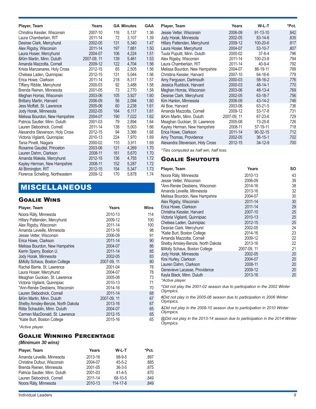| Player, Team                     | Years       |     | <b>GA Minutes</b> | <b>GAA</b> |
|----------------------------------|-------------|-----|-------------------|------------|
| Christina Kessler, Wisconsin     | 2007-10     | 116 | 5,137             | 1.36       |
| Laura Chamberlain, RIT           | 2011-14     | 72  | 3,107             | 1.39       |
| Desirae Clark, Mercyhurst        | 2002-05     | 131 | 5,340             | 1.47       |
| Alex Rigsby, Wisconsin           | 2011-14     | 197 | 7,881             | 1.50       |
| Laura Hosier, Mercyhurst         | 2004-07     | 106 | 4,224             | 1.51       |
| &Kim Martin, Minn. Duluth        | 2007-09, 11 | 139 | 5,461             | 1.53       |
| Amanda Mazzotta, Cornell         | 2009-12     | 122 | 4,704             | 1.56       |
| Krista Manzanares, Holy Cross    | 2012-15     | 65  | 2,505             | 1.56       |
| Chelsea Laden, Quinnipiac        | 2012-15     | 131 | 5.044             | 1.56       |
| Erica Howe, Clarkson             | 2011-14     | 218 | 8.317             | 1.57       |
| Tiffany Ribble, Mercyhurst       | 2000-03     | 92  | 3,488             | 1.58       |
| Brenda Reinen, Minnesota         | 2001-05     | 73  | 2,770             | 1.58       |
| Meghan Horras, Wisconsin         | 2003-06     | 105 | 3.927             | 1.60       |
| Brittany Martin, Harvard         | 2006-09     | 56  | 2,094             | 1.60       |
| Jess Moffatt, St. Lawrence       | 2005-06     | 60  | 2,238             | 1.61       |
| Jody Horak, Minnesota            | 2002-05     | 164 | 6,117             | 1.61       |
| Melissa Bourdon, New Hampshire   | 2004-07     | 190 | 7,022             | 1.62       |
| Patricia Sautter, Minn. Duluth   | 2001-03     | 79  | 2,894             | 1.64       |
| Lauren Slebodnick, Cornell       | 2011-14     | 138 | 5,003             | 1.66       |
| Alexandra Stevenson, Holy Cross  | 2012-15     | 94  | 3,366             | 1.68       |
| Victoria Vigilanti, Quinnipiac   | 2010-13     | 224 | 7,970             | 1.69       |
| Tania Pinelli, Niagara           | 2000-02     | 110 | 3.911             | 1.69       |
| Roxanne Gaudiel, Princeton       | 2003-06     | 121 | 4,269             | 1.70       |
| Lauren Dahm, Clarkson            | 2008-11     | 161 | 5,670             | 1.70       |
| Amanda Makela, Mercyhurst        | 2012-15     | 136 | 4,755             | 1.72       |
| Kayley Herman, New Hampshire     | 2008-11     | 152 | 5,287             | 1.72       |
| Ali Binnington, RIT              | 2012-15     | 154 | 5.347             | 1.73       |
| Florence Schelling, Northeastern | 2009-12     | 170 | 5,878             | 1.74       |

## MISCELLANEOUS

#### Goalie Wins

| Player, Team                       | Years      | Wins |
|------------------------------------|------------|------|
| Noora Räty, Minnesota              | 2010-13    | 114  |
| Hillary Pattenden, Mercyhurst      | 2009-12    | 100  |
| Alex Rigsby, Wisconsin             | 2011-14    | 100  |
| Amanda Leveille, Minnesota         | 2013-16    | 98   |
| Jessie Vetter, Wisconsin           | 2006-09    | 91   |
| Erica Howe, Clarkson               | 2011-14    | 90   |
| Melissa Bourdon, New Hampshire     | 2004-07    | 86   |
| Kerrin Sperry, Boston U.           | 2011-14    | 85   |
| Jody Horak, Minnesota              | 2002-05    | 83   |
| &Molly Schaus, Boston College      | 2007-09.11 | 80   |
| Rachel Barrie, St. Lawrence        | 2001-04    | 78   |
| Laura Hosier, Mercyhurst           | 2004-07    | 78   |
| Meaghan Guckian, St. Lawrence      | 2005-08    | 73   |
| Victoria Vigilanti, Quinnipiac     | 2010-13    | 71   |
| *Ann-Renée Desbiens, Wisconsin     | 2014-16    | 70   |
| Lauren Slebodnick, Cornell         | 2011-14    | 68   |
| &Kim Martin, Minn. Duluth          | 2007-09.11 | 67   |
| Shelby Amsley-Benzie, North Dakota | 2013-16    | 67   |
| Riitta Schaublin, Minn. Duluth     | 2004-07    | 65   |
| Carmen MacDonald, St. Lawrence     | 2012-15    | 65   |
| *Katie Burt, Boston College        | 2015-16    | 65   |

*\*Active player.*

### Goalie Winning Percentage

#### *(Minimum 30 wins)*

| Player, Team                   | Years   | W-L-T          | *Pct. |
|--------------------------------|---------|----------------|-------|
| Amanda Leveille, Minnesota     | 2013-16 | $98-9-5$       | .897  |
| Christine Dufour, Wisconsin    | 2004-07 | $45 - 5 - 2$   | .885  |
| Brenda Reinen, Minnesota       | 2001-05 | $36 - 3 - 5$   | .875  |
| Patricia Sautter, Minn. Duluth | 2001-03 | $41 - 4 - 5$   | .870  |
| Lauren Slebodnick, Cornell     | 2011-14 | 68-10-5        | .849  |
| Noora Räty, Minnesota          | 2010-13 | $114 - 17 - 8$ | .849  |
|                                |         |                |       |

| Player, Team                    | Years       | W-L-T          | *Pct. |
|---------------------------------|-------------|----------------|-------|
| Jessie Vetter, Wisconsin        | 2006-09     | $91 - 13 - 10$ | .842  |
| Jody Horak, Minnesota           | 2002-05     | 83-14-6        | .835  |
| Hillary Pattenden, Mercyhurst   | 2009-12     | 100-20-6       | .817  |
| Laura Hosier, Mercyhurst        | 2004-07     | $53-10-7$      | .807  |
| Tuula Puputti, Minn. Duluth     | 2000-02     | $37 - 8 - 4$   | .796  |
| Alex Rigsby, Wisconsin          | 2011-14     | 100-23-8       | .794  |
| Laura Chamberlain, RIT          | 2011-14     | $40 - 9 - 4$   | .792  |
| Melissa Bourdon, New Hampshire  | 2004-07     | 86-19-11       | .789  |
| Christina Kessler, Harvard      | 2007-10     | 64-16-6        | .779  |
| Amy Ferguson, Dartmouth         | 2000-03     | 58-16-2        | .776  |
| Jessica Ruddock, Harvard        | 2000-03     | 48-14-1        | .770  |
| Meghan Horras, Wisconsin        | 2003-06     | 48-13-4        | .769  |
| Desirae Clark, Mercyhurst       | 2002-05     | 63-18-7        | .756  |
| Kim Hanlon, Minnesota           | 2006-09     | 43-14-2        | .746  |
| Ali Boe, Harvard                | 2003-06     | 63-21-5        | .736  |
| Amanda Mazzotta, Cornell        | 2009-12     | $53-17-8$      | .731  |
| &Kim Martin, Minn. Duluth       | 2007-09, 11 | 67-23-6        | .729  |
| Meaghan Guckian, St. Lawrence   | 2005-08     | 73-25-8        | .726  |
| Kayley Herman, New Hampshire    | 2008-11     | 57-19-11       | .718  |
| Erica Howe, Clarkson            | 2011-14     | 90-32-15       | .712  |
| Amy Thomas, Providence          | 2002-05     | $36 - 15 - 1$  | .702  |
| Alexandra Stevenson, Holy Cross | 2012-15     | $34 - 12 - 9$  | .700  |

*\*Ties computed as half win, half loss.*

### **GOALIE SHUTOUTS**

| Player, Team                       | Years       | <b>SO</b> |
|------------------------------------|-------------|-----------|
| Noora Räty, Minnesota              | 2010-13     | 43        |
| Jessie Vetter, Wisconsin           | 2006-09     | 39        |
| *Ann-Renée Desbiens, Wisconsin     | 2014-16     | 38        |
| Amanda Leveille, Minnesota         | 2013-16     | 32        |
| Melissa Bourdon, New Hampshire     | 2004-07     | 30        |
| Alex Rigsby, Wisconsin             | 2011-14     | 30        |
| Erica Howe, Clarkson               | 2011-14     | 29        |
| Christina Kessler, Harvard         | 2007-10     | 25        |
| Victoria Vigilanti, Quinnipiac     | 2010-13     | 25        |
| Chelsea Laden, Quinnipiac          | 2012-15     | 25        |
| Desirae Clark, Mercyhurst          | 2002-05     | 24        |
| *Katie Burt, Boston College        | 2014-16     | 23        |
| Amanda Mazzotta, Cornell           | 2009-12     | 22        |
| Shelby Amsley-Benzie, North Dakota | 2013-16     | 22        |
| &Molly Schaus, Boston College      | 2007-09, 11 | 21        |
| Jody Horak, Minnesota              | 2002-05     | 20        |
| Kira Hurley, Clarkson              | 2004-07     | 20        |
| Lauren Dahm, Clarkson              | 2008-11     | 20        |
| Genevieve Lacasse, Providence      | 2009-12     | 20        |
| Kayla Black, Minn. Duluth          | 2013-16     | 20        |
| *Active player.                    |             |           |

*^Did not play the 2001-02 season due to participation in the 2002 Winter Olympics.*

*#Did not play in the 2005-06 season due to participation in 2006 Winter Olympics.*

*&Did not play in the 2009-10 season due to participation in 2010 Winter Olympics.*

*@Did not play in the 2013-14 season due to participation in the 2014 Winter Olympics.*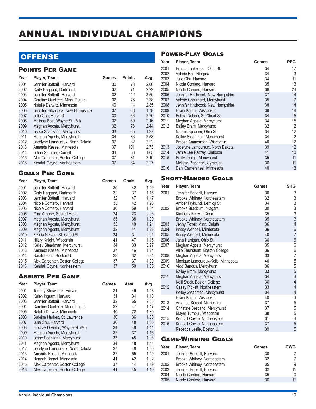## ANNUAL INDIVIDUAL CHAMPIONS

## **OFFENSE**

#### Points Per Game Year Player, Team **Games** Points Avg. 2001 Jennifer Botterill, Harvard 30 78 2.60<br>2002 Carly Haggard, Dartmouth 32 71 2.22 Carly Haggard, Dartmouth 32 71 2.22 Jennifer Botterill, Harvard 32 112 3.50 Caroline Ouellette, Minn. Duluth 32 76 2.38 114 Darwitz, Minnesota 10 40 114 2.85<br>
1.78 Jennifer Hitchcock, New Hampshire 37 66 1.78 2006 Jennifer Hitchcock, New Hampshire 37 66 1.78<br>2007 Julie Chu, Harvard 30 66 2.20 2007 Julie Chu, Harvard Melissa Boal, Wayne St. (MI) 32 69 2.16 Meghan Agosta, Mercyhurst 32 78 2.44 Jesse Scanzano, Mercyhurst 33 65 1.97 Meghan Agosta, Mercyhurst 34 86 2.53 Jocelyne Lamoureux, North Dakota 37 82 2.22 Amanda Kessel, Minnesota 2014 Julian Saulnier, Cornell 34 56 1.65<br>2015 Alex Carpenter, Boston College 37 81 2.19 2015 Alex Carpenter, Boston College 37 81 2.19<br>2016 Kendall Coyne, Northeastern 37 84 2.27 Kendall Coyne, Northeastern

#### Goals Per Game

| Year | Player, Team                   | Games | Goals | Avg. |
|------|--------------------------------|-------|-------|------|
| 2001 | Jennifer Botterill, Harvard    | 30    | 42    | 1.40 |
| 2002 | Carly Haggard, Dartmouth       | 32    | 37    | 1.16 |
| 2003 | Jennifer Botterill, Harvard    | 32    | 47    | 1.47 |
| 2004 | Nicole Corriero, Harvard       | 35    | 42    | 1.20 |
| 2005 | Nicole Corriero, Harvard       | 36    | 59    | 1.64 |
| 2006 | Gina Arnone, Sacred Heart      | 24    | 23    | 0.96 |
| 2007 | Meghan Agosta, Mercyhurst      | 35    | 38    | 1.09 |
| 2008 | Meghan Agosta, Mercyhurst      | 33    | 40    | 1.21 |
| 2009 | Meghan Agosta, Mercyhurst      | 32    | 41    | 1.28 |
| 2010 | Felicia Nelson, St. Cloud St.  | 34    | 31    | 0.91 |
| 2011 | Hilary Knight, Wisconsin       | 41    | 47    | 1.15 |
| 2012 | Kelley Steadman, Mercyhurst    | 34    | 33    | 0.97 |
| 2013 | Amanda Kessel, Minnesota       | 37    | 46    | 1.24 |
| 2014 | Sarah Lefort, Boston U.        | 38    | 32    | 0.84 |
| 2015 | Alex Carpenter, Boston College | 37    | 37    | 1.00 |
| 2016 | Kendall Coyne, Northeastern    | 37    | 50    | 1.35 |

### Assists Per Game

| Year | Player, Team                     | Games | Asst. | Avg. |
|------|----------------------------------|-------|-------|------|
| 2001 | Tammy Shewchuk, Harvard          | 31    | 46    | 1.48 |
| 2002 | Kalen Ingram, Harvard            | 31    | 34    | 1.10 |
| 2003 | Jennifer Botterill, Harvard      | 32    | 65    | 2.03 |
| 2004 | Caroline Ouellette, Minn. Duluth | 32    | 47    | 1.47 |
| 2005 | Natalie Darwitz, Minnesota       | 40    | 72    | 1.80 |
| 2006 | Sabrina Harbec, St. Lawrence     | 36    | 36    | 1.00 |
| 2007 | Julie Chu, Harvard               | 30    | 48    | 1.60 |
| 2008 | Lindsay DiPietro, Wayne St. (MI) | 34    | 48    | 1.41 |
| 2009 | Meghan Agosta, Mercyhurst        | 32    | 37    | 1.16 |
| 2010 | Jesse Scanzano, Mercyhurst       | 33    | 45    | 1.36 |
| 2011 | Meghan Agosta, Mercyhurst        | 34    | 48    | 1.41 |
| 2012 | Jocelyne Lamoureux, North Dakota | 37    | 48    | 1.30 |
| 2013 | Amanda Kessel, Minnesota         | 37    | 55    | 1.49 |
| 2014 | Hannah Brandt, Minnesota         | 41    | 42    | 1.02 |
| 2015 | Alex Carpenter, Boston College   | 37    | 44    | 1.19 |
| 2016 | Alex Carpenter, Boston College   | 41    | 45    | 1.10 |

#### Power-Play Goals

| Year | Player, Team                      | Games | <b>PPG</b> |
|------|-----------------------------------|-------|------------|
| 2001 | Emma Laaksonen, Ohio St.          | 34    | 17         |
| 2002 | Valerie Hall, Niagara             | 34    | 13         |
| 2003 | Julie Chu, Harvard                | 34    | 11         |
| 2004 | Nicole Corriero, Harvard          | 35    | 13         |
| 2005 | Nicole Corriero, Harvard          | 36    | 24         |
| 2006 | Jennifer Hitchcock, New Hampshire | 37    | 14         |
| 2007 | Valerie Chouinard, Mercyhurst     | 35    | 17         |
| 2008 | Jennifer Hitchcock, New Hampshire | 38    | 14         |
| 2009 | Hilary Knight, Wisconsin          | 39    | 16         |
| 2010 | Felicia Nelson, St. Cloud St.     | 34    | 15         |
| 2011 | Meghan Agosta, Mercyhurst         | 34    | 15         |
| 2012 | Bailey Bram, Mercyhurst           | 32    | 12         |
|      | Natalie Spooner, Ohio St.         | 34    | 12         |
|      | Kelley Steadman, Mercyhurst       | 34    | 12         |
|      | Brooke Ammerman, Wisconsin        | 40    | 12         |
| 2013 | Jocelyne Lamoureux, North Dakota  | 39    | 12         |
| 2014 | Jamie Lee Rattray, Clarkson       | 41    | 10         |
| 2015 | Emily Janiga, Mercyhurst          | 35    | 11         |
|      | Melissa Piacentini, Syracuse      | 36    | 11         |
| 2016 | Dani Cameranesi, Minnesota        | 40    | 13         |

#### Short-Handed Goals

| Year         | Player, Team                                                                           | Games          | <b>SHG</b>                                   |
|--------------|----------------------------------------------------------------------------------------|----------------|----------------------------------------------|
| 2001         | Jennifer Botterill, Harvard<br>Brooke Whitney, Northeastern                            | 30<br>32<br>34 | 3                                            |
| 2002         | Amber Fryklund, Bemidji St.<br>Brooke Bradburn, Niagara<br>Kimberly Berry, UConn       | 30<br>35       | $\begin{array}{c}\n3 \\ 3 \\ 3\n\end{array}$ |
| 2003         | Brooke Whitney, Northeastern<br>Jenny Potter, Minn. Duluth                             | 35<br>36       | 4                                            |
| 2004         | Krissy Wendell, Minnesota                                                              | 36             | $\,$ 6 $\,$                                  |
| 2005         | Krissy Wendell, Minnesota                                                              | 40             | $\overline{7}$                               |
| 2006         | Jana Harrigan, Ohio St.                                                                | 36             | $6\phantom{a}$                               |
| 2007         | Meghan Agosta, Mercyhurst                                                              | 35             | 6                                            |
|              | Allie Thunstrom, Boston College                                                        | 36             | 6                                            |
| 2008         | Meghan Agosta, Mercyhurst                                                              | 33             | $\overline{7}$                               |
| 2009         | Monique Lamoureux-Kolls, Minnesota                                                     | 40             | 5                                            |
| 2010         | Vicki Bendus, Mercyhurst                                                               | 36             | 5                                            |
| 2011         | Bailey Bram, Mercyhurst                                                                | 33             | 5                                            |
|              | Meghan Agosta, Mercyhurst                                                              | 34             | $\overline{4}$                               |
|              | Kelli Stack, Boston College                                                            | 36             | $\overline{4}$                               |
| 2012         | Casey Pickett, Northeastern                                                            | 33             | $\overline{4}$                               |
|              | Kelley Steadman, Mercyhurst                                                            | 34             | $\overline{4}$                               |
| 2013<br>2014 | Hilary Knight, Wisconsin<br>Amanda Kessel, Minnesota<br>Christine Bestland, Mercyhurst | 40<br>37<br>37 | 4<br>5<br>5                                  |
| 2015         | <b>Blayre Turnbull, Wisconsin</b>                                                      | 38             | 5                                            |
|              | Kendall Coyne, Northeastern                                                            | 31             | $\overline{4}$                               |
| 2016         | Kendall Coyne, Northeastern                                                            | 37             | 5                                            |
|              | Rebecca Leslie, Boston U.                                                              | 39             | 5                                            |

#### Game-Winning Goals

| Player, Team                 | Games | <b>GWG</b> |
|------------------------------|-------|------------|
| Jennifer Botterill, Harvard  | 30    |            |
| Brooke Whitney, Northeastern | 32    | 7          |
| Brooke Whitney, Northeastern | 35    | 9          |
| Jennifer Botterill, Harvard  | 32    | 11         |
| Nicole Corriero, Harvard     | 35    | 10         |
| Nicole Corriero, Harvard     | 36    | 11         |
|                              |       |            |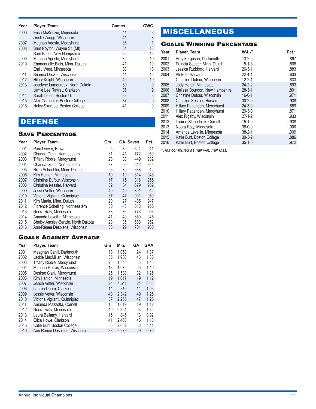| Year | Player, Team                     | Games | <b>GWG</b> |
|------|----------------------------------|-------|------------|
| 2006 | Erica McKenzie, Minnesota        | 41    | 8          |
|      | Jinelle Zaugg, Wisconsin         | 41    | 8          |
| 2007 | Meghan Agosta, Mercyhurst        | 35    | 11         |
| 2008 | Sam Poyton, Wayne St. (MI)       | 34    | 13         |
|      | Sam Faber, New Hampshire         | 38    | 13         |
| 2009 | Meghan Agosta, Mercyhurst        | 32    | 10         |
| 2010 | Emmanuelle Blais, Minn. Duluth   | 41    | 10         |
|      | Emily West, Minnesota            | 38    | 10         |
| 2011 | Brianna Decker, Wisconsin        | 41    | 12         |
| 2012 | Hilary Knight, Wisconsin         | 40    | 10         |
| 2013 | Jocelyne Lamoureux, North Dakota | 39    | 9          |
|      | Jamie Lee Rattray, Clarkson      | 36    | 9          |
| 2014 | Sarah Lefort, Boston U.          | 38    | 8          |
| 2015 | Alex Carpenter, Boston College   | 37    | 9          |
| 2016 | Haley Skarupa, Boston College    | 41    | 9          |

## **DEFENSE**

### Save Percentage

| Year | Player, Team                       | Gm | <b>GA Saves</b> |     | Pct. |
|------|------------------------------------|----|-----------------|-----|------|
| 2001 | Pam Dreyer, Brown                  | 25 | 39              | 624 | .941 |
| 2002 | Chanda Gunn, Northeastern          | 31 | 41              | 772 | .950 |
| 2003 | Tiffany Ribble, Mercyhurst         | 23 | 33              | 449 | .932 |
| 2004 | Chanda Gunn. Northeastern          | 27 | 56              | 842 | .938 |
| 2005 | Riitta Schaublin, Minn. Duluth     | 26 | 39              | 638 | .942 |
| 2006 | Kim Hanlon, Minnesota              | 19 | 19              | 314 | .943 |
| 2007 | Christine Dufour, Wisconsin        | 17 | 15              | 316 | .955 |
| 2008 | Christina Kessler, Harvard         | 32 | 34              | 679 | .952 |
| 2009 | Jessie Vetter, Wisconsin           | 40 | 49              | 801 | .942 |
| 2010 | Victoria Vigilanti, Quinnipiac     | 37 | 47              | 901 | .950 |
| 2011 | Kim Martin, Minn. Duluth           | 20 | 27              | 485 | .947 |
| 2012 | Florence Schelling, Northeastern   | 30 | 43              | 818 | .950 |
| 2013 | Noora Räty, Minnesota              | 38 | 36              | 776 | .956 |
| 2014 | Amanda Leveille, Minnesota         | 41 | 49              | 850 | .945 |
| 2015 | Shelby Amsley-Benzie, North Dakota | 28 | 35              | 688 | .952 |
| 2016 | Ann-Renée Desbiens, Wisconsin      | 38 | 29              | 701 | .960 |

#### Goals Against Average

| Year | Player, Team                      | Gm | Min.  | GA | <b>GAA</b> |
|------|-----------------------------------|----|-------|----|------------|
| 2001 | Meaghan Cahill, Dartmouth         | 18 | 1.050 | 24 | 1.37       |
| 2002 | Jackie MacMillan, Wisconsin       | 35 | 1.980 | 43 | 1.30       |
| 2003 | <b>Tiffany Ribble, Mercyhurst</b> | 23 | 1.340 | 33 | 1.48       |
| 2004 | Meghan Horras, Wisconsin          | 18 | 1.072 | 25 | 1.40       |
| 2005 | Desirae Clark, Mercyhurst         | 25 | 1.538 | 32 | 1.25       |
| 2006 | Kim Hanlon, Minnesota             | 19 | 1.017 | 19 | 1.12       |
| 2007 | Jessie Vetter, Wisconsin          | 24 | 1.511 | 21 | 0.83       |
| 2008 | Lauren Dahm, Clarkson             | 14 | 816   | 14 | 1.03       |
| 2009 | Jessie Vetter, Wisconsin          | 40 | 2,342 | 49 | 1.26       |
| 2010 | Victoria Vigilanti, Quinnipiac    | 37 | 2.265 | 47 | 1.25       |
| 2011 | Amanda Mazzotta, Cornell          | 18 | 1.019 | 19 | 1.12       |
| 2012 | Noora Räty, Minnesota             | 40 | 2.361 | 53 | 1.35       |
| 2013 | Laura Bellamy, Harvard            | 15 | 845   | 13 | 0.92       |
| 2014 | Erica Howe, Clarkson              | 41 | 2,460 | 45 | 1.10       |
| 2015 | Katie Burt, Boston College        | 35 | 2.062 | 38 | 1.11       |
| 2016 | Ann-Renée Desbiens, Wisconsin     | 38 | 2.279 | 29 | 0.76       |

## MISCELLANEOUS

## Goalie Winning Percentage

| Year | Player, Team                   | W-L-T        | Pct.* |
|------|--------------------------------|--------------|-------|
| 2001 | Amy Ferguson, Dartmouth        | $13 - 2 - 0$ | .867  |
| 2002 | Patricia Sautter, Minn. Duluth | $15 - 1 - 3$ | .868  |
| 2003 | Jessica Ruddock, Harvard       | $26 - 3 - 1$ | .883  |
| 2004 | Ali Boe, Harvard               | $22 - 4 - 1$ | .833  |
|      | Christine Dufour, Wisconsin    | $12 - 2 - 1$ | .833  |
| 2005 | Jody Horak, Minnesota          | $24 - 2 - 2$ | .893  |
| 2006 | Melissa Bourdon, New Hampshire | $28 - 3 - 1$ | .891  |
| 2007 | Christine Dufour, Wisconsin    | $16 - 0 - 1$ | .971  |
| 2008 | Christina Kessler, Harvard     | $30 - 2 - 0$ | .938  |
| 2009 | Hillary Pattenden, Mercyhurst  | $24 - 3 - 0$ | .889  |
| 2010 | Hillary Pattenden, Mercyhurst  | $29 - 3 - 3$ | .871  |
| 2011 | Alex Rigsby, Wisconsin         | $27-1-2$     | .933  |
| 2012 | Lauren Slebodnick, Cornell     | $15 - 1 - 0$ | .938  |
| 2013 | Noora Räty, Minnesota          | $38 - 0 - 0$ | 1.000 |
| 2014 | Amanda Leveille, Minnesota     | $38 - 2 - 1$ | .939  |
| 2015 | Katie Burt, Boston College     | $30 - 3 - 2$ | .886  |
| 2016 | Katie Burt, Boston College     | $35 - 1 - 0$ | .972  |

*\*Ties computed as half win, half loss.*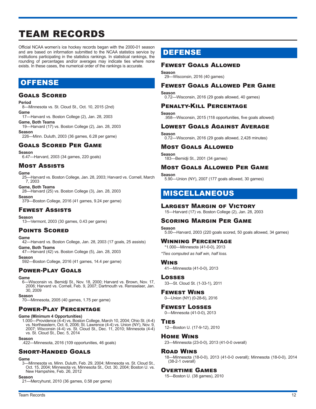## TEAM RECORDS

Official NCAA women's ice hockey records began with the 2000-01 season and are based on information submitted to the NCAA statistics service by institutions participating in the statistics rankings. In statistical rankings, the rounding of percentages and/or averages may indicate ties where none exists. In these cases, the numerical order of the rankings is accurate.

## **OFFENSE**

#### Goals Scored

#### **Period**

8—Minnesota vs. St. Cloud St., Oct. 10, 2015 (2nd) **Game**

17—Harvard vs. Boston College (2), Jan. 28, 2003

**Game, Both Teams** 19—Harvard (17) vs. Boston College (2), Jan. 28, 2003

**Season**

226—Minn. Duluth, 2003 (36 games, 6.28 per game)

#### Goals Scored Per Game

**Season**

6.47—Harvard, 2003 (34 games, 220 goals)

### Most Assists

Game<br>
25– 25—Harvard vs. Boston College, Jan. 28, 2003; Harvard vs. Cornell, March 7, 2003

**Game, Both Teams** 28—Harvard (25) vs. Boston College (3), Jan. 28, 2003

**Season**

379—Boston College, 2016 (41 games, 9.24 per game)

#### Fewest Assists

#### **Season**

13—Vermont, 2003 (30 games, 0.43 per game)

#### Points Scored

#### **Game**

42—Harvard vs. Boston College, Jan. 28, 2003 (17 goals, 25 assists) **Game, Both Teams**

47—Harvard (42) vs. Boston College (5), Jan. 28, 2003

#### **Season**

592—Boston College, 2016 (41 games, 14.4 per game)

### Power-Play Goals

## Game

6—Wisconsin vs. Bemidji St., Nov. 18, 2000; Harvard vs. Brown, Nov. 17, 2006; Harvard vs. Cornell, Feb. 9, 2007; Dartmouth vs. Rensselaer, Jan. 30, 2009

**Season**

70—Minnesota, 2005 (40 games, 1.75 per game)

#### Power-Play Percentage

#### **Game (Minimum 4 Opportunities)**

1.000—Providence (4-4) vs. Boston College, March 10, 2004; Ohio St. (4-4) vs. Northeastern, Oct. 6, 2006; St. Lawrence (4-4) vs. Union (NY), Nov. 9, 2007; Wisconsin (4-4) vs. St. Cloud St., Dec. 11, 2010; Minnesota (4-4) vs. St. Cloud St., Dec. 5, 2014

#### **Season**

.422—Minnesota, 2016 (109 opportunities, 46 goals)

### Short-Handed Goals

#### **Game**

3—Minnesota vs. Minn. Duluth, Feb. 29, 2004; Minnesota vs. St. Cloud St., Oct. 15, 2004; Minnesota vs. Minnesota St., Oct. 30, 2004; Boston U. vs. New Hampshire, Feb. 26, 2012

#### **Season**

21—Mercyhurst, 2010 (36 games, 0.58 per game)

## DEFENSE

#### Fewest Goals Allowed

**Season**

29—Wisconsin, 2016 (40 games)

#### Fewest Goals Allowed Per Game

**Season** 0.72—Wisconsin, 2016 (29 goals allowed, 40 games)

#### Penalty-Kill Percentage

**Season** .958—Wisconsin, 2015 (118 opportunities, five goals allowed)

#### Lowest Goals Against Average

**Season** 0.72—Wisconsin, 2016 (29 goals allowed, 2,428 minutes)

#### Most Goals Allowed

**Season** 183—Bemidji St., 2001 (34 games)

#### Most Goals Allowed Per Game

**Season** 5.90—Union (NY), 2007 (177 goals allowed, 30 games)

## MISCELLANEOUS

#### Largest Margin of Victory

15—Harvard (17) vs. Boston College (2), Jan. 28, 2003

#### Scoring Margin Per Game

**Season** 5.00—Harvard, 2003 (220 goals scored, 50 goals allowed, 34 games)

#### Winning Percentage

\*1.000—Minnesota (41-0-0), 2013 *\*Ties computed as half win, half loss.*

#### Wins

41—Minnesota (41-0-0), 2013

#### Losses

33—St. Cloud St. (1-33-1), 2011

#### Fewest Wins

0—Union (NY) (0-28-6), 2016

#### Fewest Losses

0—Minnesota (41-0-0), 2013

#### Ties

12—Boston U. (17-9-12), 2010

#### Home Wins

23—Minnesota (23-0-0), 2013 (41-0-0 overall)

#### Road Wins

18—Minnesota (18-0-0), 2013 (41-0-0 overall); Minnesota (18-0-0), 2014 (38-2-1 overall)

#### Overtime Games

15—Boston U. (38 games), 2010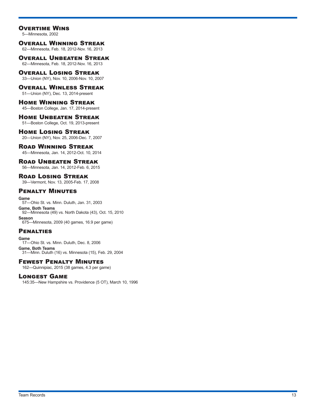#### **OVERTIME WINS**

5—Minnesota, 2002

#### Overall Winning Streak

62—Minnesota, Feb. 18, 2012-Nov. 16, 2013

### Overall Unbeaten Streak

62—Minnesota, Feb. 18, 2012-Nov. 16, 2013

#### Overall Losing Streak

33—Union (NY), Nov. 10, 2006-Nov. 10, 2007

#### Overall Winless Streak

51—Union (NY), Dec. 13, 2014-present

#### Home Winning Streak

45—Boston College, Jan. 17, 2014-present

#### Home Unbeaten Streak

51—Boston College, Oct. 19, 2013-present

#### Home Losing Streak

20—Union (NY), Nov. 25, 2006-Dec. 7, 2007

#### Road Winning Streak

45—Minnesota, Jan. 14, 2012-Oct. 10, 2014

#### Road Unbeaten Streak

56—Minnesota, Jan. 14, 2012-Feb. 6, 2015

#### Road Losing Streak

39—Vermont, Nov. 13, 2005-Feb. 17, 2008

#### Penalty Minutes

#### **Game**

57—Ohio St. vs. Minn. Duluth, Jan. 31, 2003 **Game, Both Teams** 92—Minnesota (49) vs. North Dakota (43), Oct. 15, 2010 **Season** 675—Minnesota, 2009 (40 games, 16.9 per game)

#### Penalties

**Game** 17—Ohio St. vs. Minn. Duluth, Dec. 8, 2006 **Game, Both Teams** 31—Minn. Duluth (16) vs. Minnesota (15), Feb. 29, 2004

#### Fewest Penalty Minutes

162—Quinnipiac, 2015 (38 games, 4.3 per game)

#### Longest Game

145:35—New Hampshire vs. Providence (5 OT), March 10, 1996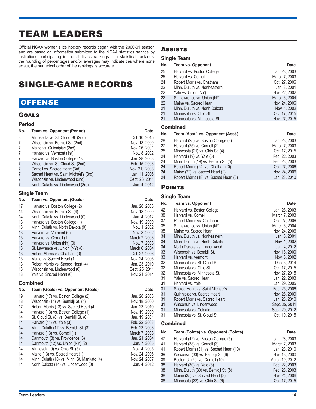## TEAM LEADERS

Official NCAA women's ice hockey records began with the 2000-01 season and are based on information submitted to the NCAA statistics service by institutions participating in the statistics rankings. In statistical rankings, the rounding of percentages and/or averages may indicate ties where none exists, the numerical order of the rankings is accurate.

## SINGLE-GAME RECORDS

## **OFFENSE**

#### Goals

| <b>Period</b>  |                                                                     |                |
|----------------|---------------------------------------------------------------------|----------------|
| No.            | Team vs. Opponent (Period)                                          | Date           |
| 8              | Minnesota vs. St. Cloud St. (2nd)                                   | Oct. 10, 2015  |
| 7              | Wisconsin vs. Bemidji St. (2nd)                                     | Nov. 18, 2000  |
| 7              | Maine vs. Quinnipiac (2nd)                                          | Nov. 26, 2001  |
| 7              | Harvard vs. Vermont (1st)                                           | Nov. 8, 2002   |
| 7              | Harvard vs. Boston College (1st)                                    | Jan. 28, 2003  |
| $\overline{7}$ | Wisconsin vs. St. Cloud St. (2nd)                                   | Feb. 15, 2003  |
| $\overline{7}$ | Cornell vs. Sacred Heart (3rd)                                      | Nov. 21, 2003  |
| 7              | Sacred Heart vs. Saint Michael's (3rd)                              | Jan. 11, 2006  |
| 7              | Wisconsin vs. Lindenwood (2nd)                                      | Sept. 23, 2011 |
| 7              | North Dakota vs. Lindenwood (3rd)                                   | Jan. 4, 2012   |
|                | <b>Single Team</b>                                                  |                |
| No.            | Team vs. Opponent (Goals)                                           | Date           |
| 17             | Harvard vs. Boston College (2)                                      | Jan. 28, 2003  |
| 14             | Wisconsin vs. Bemidji St. (4)                                       | Nov. 18, 2000  |
| 14             | North Dakota vs. Lindenwood (0)                                     | Jan. 4, 2012   |
| 13             | Harvard vs. Boston College (1)                                      | Nov. 19, 2000  |
| 13             | Minn. Duluth vs. North Dakota (0)                                   | Nov. 1, 2002   |
| 13             | Harvard vs. Vermont (0)                                             | Nov. 8, 2002   |
| 13             | Harvard vs. Cornell (1)                                             | March 7, 2003  |
| 13             | Harvard vs. Union (NY) (0)                                          | Nov. 7, 2003   |
| 13             | St. Lawrence vs. Union (NY) (0)                                     | March 6, 2004  |
| 13             | Robert Morris vs. Chatham (0)                                       | Oct. 27, 2006  |
| 13             | Maine vs. Sacred Heart (1)                                          | Nov. 24, 2006  |
| 13             | Robert Morris vs. Sacred Heart (4)                                  | Jan. 23, 2010  |
| 13             | Wisconsin vs. Lindenwood (0)                                        | Sept. 25, 2011 |
| 13             | Yale vs. Sacred Heart (0)                                           | Nov. 21, 2014  |
|                | <b>Combined</b>                                                     |                |
| No.            | Team (Goals) vs. Opponent (Goals)                                   | Date           |
| 19             | Harvard (17) vs. Boston College (2)                                 | Jan. 28, 2003  |
| 18             | Wisconsin (14) vs. Bemidji St. (4)                                  | Nov. 18, 2000  |
| 17             | Robert Morris (13) vs. Sacred Heart (4)                             | Jan. 23, 2010  |
| 14             | Harvard (13) vs. Boston College (1)                                 | Nov. 19, 2000  |
| 14             | St. Cloud St. (8) vs. Bemidji St. (6)                               | Jan. 19, 2001  |
| 14             | Harvard (11) vs. Yale (3)                                           | Feb. 22, 2003  |
| 14             | Minn. Duluth (11) vs. Bemidji St. (3)                               | Feb. 23, 2003  |
| 14             | Harvard (13) vs. Cornell (1)                                        | March 7, 2003  |
| 14             | Dartmouth (8) vs. Providence (6)                                    | Jan. 21, 2004  |
| 14             | Dartmouth (12) vs. Union (NY) (2)                                   | Jan. 7, 2005   |
| 14             | Minnesota (9) vs. Ohio St. (5)                                      | Nov. 4, 2005   |
| 14             | Maine (13) vs. Sacred Heart (1)                                     | Nov. 24, 2006  |
| $\overline{A}$ | $M_{\text{max}}$ Dubith $(40)$ in $M_{\text{max}}$ Of Members $(4)$ | $N = 0.04007$  |

 Minn. Duluth (10) vs. Minn. St. Mankato (4) Nov. 24, 2007 North Dakota (14) vs. Lindenwood (0)

#### **Assists**

#### **Single Team**

| No. | <b>Team vs. Opponent</b>      | <b>Date</b>   |
|-----|-------------------------------|---------------|
| 25  | Harvard vs. Boston College    | Jan. 28, 2003 |
| 25  | Harvard vs. Cornell           | March 7, 2003 |
| 24  | Robert Morris vs. Chatham     | Oct. 27, 2006 |
| 22  | Minn. Duluth vs. Northeastern | Jan. 8, 2001  |
| 22  | Yale vs. Union (NY)           | Nov. 22, 2002 |
| 22  | St. Lawrence vs. Union (NY)   | March 6, 2004 |
| 22  | Maine vs. Sacred Heart        | Nov. 24, 2006 |
| 21  | Minn. Duluth vs. North Dakota | Nov. 1, 2002  |
| 21  | Minnesota vs. Ohio St.        | Oct. 17, 2015 |
| 21  | Minnesota vs. Minnesota St.   | Nov. 27, 2015 |
|     |                               |               |

#### **Combined**

#### **No. Team (Asst.) vs. Opponent (Asst.) Date**  28 Harvard (25) vs. Boston College (3) Jan. 28, 2003 27 Harvard (25) vs. Cornell (2) 25 March 7, 2003<br>25 Minnesota (21) vs. Ohio St. (4) 2015 25 Minnesota (21) vs. Ohio St. (4) Cot. 17, 2015<br>24 Harvard (19) vs. Yale (5) Correspondent Correspondent Correspondent Correspondent Correspondent Corresponden Harvard (19) vs. Yale (5) Feb. 22, 2003 24 Minn. Duluth (19) vs. Bemidji St. (5)<br>24 Febert Morris (24) vs. Chatham (0) 24 Robert Morris (24) vs. Chatham (0) Cot. 27, 2006<br>24 Maine (22) vs. Sacred Heart (2) Correspondent Device 24, 2006 24 Maine (22) vs. Sacred Heart (2) Nov. 24, 2006<br>24 Robert Morris (18) vs. Sacred Heart (6) Jan. 23, 2010 Robert Morris (18) vs. Sacred Heart (6)

#### **POINTS**

### **Single Team**

| No.                              | Team vs. Opponent                                                                                                                                      | Date                                                                                |
|----------------------------------|--------------------------------------------------------------------------------------------------------------------------------------------------------|-------------------------------------------------------------------------------------|
| 42                               | Harvard vs. Boston College                                                                                                                             | Jan. 28, 2003                                                                       |
| 38                               | Harvard vs. Cornell                                                                                                                                    | March 7, 2003                                                                       |
| 37                               | Robert Morris vs. Chatham                                                                                                                              | Oct. 27, 2006                                                                       |
| 35                               | St. Lawrence vs. Union (NY)                                                                                                                            | March 6, 2004                                                                       |
| 35                               | Maine vs. Sacred Heart                                                                                                                                 | Nov. 24, 2006                                                                       |
| 34                               | Minn. Duluth vs. Northeastern                                                                                                                          | Jan. 8, 2001                                                                        |
| 34                               | Minn. Duluth vs. North Dakota                                                                                                                          | Nov. 1, 2002                                                                        |
| 34                               | North Dakota vs. Lindenwood                                                                                                                            | Jan. 4, 2012                                                                        |
| 33                               | Wisconsin vs. Bemidji St.                                                                                                                              | Nov. 18, 2000                                                                       |
| 33                               | Harvard vs. Vermont                                                                                                                                    | Nov. 8, 2002                                                                        |
| 32                               | Minnesota vs. St. Cloud St.                                                                                                                            | Dec. 5, 2014                                                                        |
| 32                               | Minnesota vs. Ohio St.                                                                                                                                 | Oct. 17, 2015                                                                       |
| 32                               | Minnesota vs. Minnesota St.                                                                                                                            | Nov. 27, 2015                                                                       |
| 31                               | Yale vs. Sacred Heart                                                                                                                                  | Jan. 22, 2003                                                                       |
| 31                               | Harvard vs. Yale                                                                                                                                       | Jan. 29, 2005                                                                       |
| 31<br>31<br>31<br>31<br>31<br>31 | Sacred Heart vs. Saint Michael's<br>Quinnipiac vs. Sacred Heart<br>Robert Morris vs. Sacred Heart<br>Wisconsin vs. Lindenwood<br>Minnesota vs. Colgate | Feb. 25, 2006<br>Nov. 28, 2009<br>Jan. 23, 2010<br>Sept. 25, 2011<br>Sept. 29, 2012 |
|                                  | Minnesota vs. St. Cloud St.                                                                                                                            | Oct. 10, 2015                                                                       |

#### **Combined**

#### **No. Team (Points) vs. Opponent (Points) Date**

| 47 | Harvard (42) vs. Boston College (5)      | Jan. 28, 2003  |
|----|------------------------------------------|----------------|
| 41 | Harvard (38) vs. Cornell (3)             | March 7, 2003  |
| 41 | Robert Morris (31) vs. Sacred Heart (10) | Jan. 23, 2010  |
| 39 | Wisconsin (33) vs. Bemidji St. (6)       | Nov. 18, 2000  |
| 39 | Boston U. (20) vs. Cornell (19)          | March 10, 2012 |
| 38 | Harvard (30) vs. Yale (8)                | Feb. 22, 2003  |
| 38 | Minn. Duluth (30) vs. Bemidji St. (8)    | Feb. 23, 2003  |
| 38 | Maine (35) vs. Sacred Heart (3)          | Nov. 24, 2006  |
| 38 | Minnesota (32) vs. Ohio St. (6)          | Oct. 17, 2015  |
|    |                                          |                |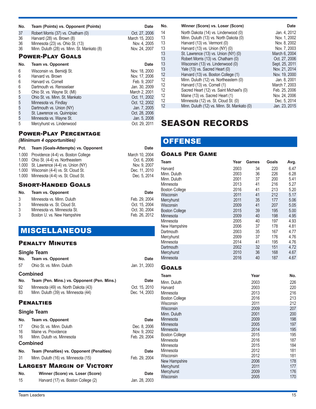| No. | Team (Points) vs. Opponent (Points)         | Date           |
|-----|---------------------------------------------|----------------|
| 37  | Robert Morris (37) vs. Chatham (0)          | Oct. 27, 2006  |
| 36  | Harvard (28) vs. Brown (8)                  | March 15, 2003 |
| 36  | Minnesota (23) vs. Ohio St. (13)            | Nov. 4, 2005   |
| 36  | Minn. Duluth (28) vs. Minn. St. Mankato (8) | Nov. 24, 2007  |
|     | <b>POWER-PLAY GOALS</b>                     |                |
| No. | Team vs. Opponent                           | <b>Date</b>    |
| 6   | Wisconsin vs. Bemidji St.                   | Nov. 18, 2000  |
| 6   | Harvard vs. Brown                           | Nov. 17, 2006  |
| 6   | Harvard vs. Cornell                         | Feb. 9, 2007   |
| 6   | Dartmouth vs. Rensselaer                    | Jan. 30, 2009  |
| 5   | Ohio St. vs. Wayne St. (MI)                 | March 2, 2001  |
| 5   | Ohio St. vs. Minn. St. Mankato              | Oct. 11, 2002  |
| 5   | Minnesota vs. Findlay                       | Oct. 12, 2002  |
| 5   | Dartmouth vs. Union (NY)                    | Jan. 7, 2005   |
| 5   | St. Lawrence vs. Quinnipiac                 | Oct. 28, 2006  |
| 5   | Minnesota vs. Wayne St.                     | Jan. 5, 2008   |
| 5   | Mercyhurst vs. Lindenwood                   | Oct. 29, 2011  |

## Power-Play Percentage

#### *(Minimum 4 opportunities)*

| Pct.                      | Team (Goals-Attempts) vs. Opponent             | <b>Date</b>    |  |
|---------------------------|------------------------------------------------|----------------|--|
|                           | 1.000 Providence (4-4) vs. Boston College      | March 10, 2004 |  |
|                           | 1.000 Ohio St. (4-4) vs. Northeastern          | Oct. 6, 2006   |  |
|                           | 1.000 St. Lawrence (4-4) vs. Union (NY)        | Nov. 9, 2007   |  |
|                           | 1.000 Wisconsin (4-4) vs. St. Cloud St.        | Dec. 11, 2010  |  |
|                           | 1.000 Minnesota (4-4) vs. St. Cloud St.        | Dec. 5, 2014   |  |
| <b>SHORT-HANDED GOALS</b> |                                                |                |  |
|                           | $\mathbf{r}$ and $\mathbf{r}$ and $\mathbf{r}$ | - -            |  |

| No. | Team vs. Opponent           | Date          |
|-----|-----------------------------|---------------|
| 3   | Minnesota vs. Minn. Duluth  | Feb. 29, 2004 |
| 3   | Minnesota vs. St. Cloud St. | Oct. 15, 2004 |
| 3   | Minnesota vs. Minnesota St. | Oct. 30, 2004 |
| 3   | Boston U. vs. New Hampshire | Feb. 26, 2012 |
|     |                             |               |

## MISCELLANEOUS

#### Penalty Minutes

|          | <b>Single Team</b>                                                           |                                |
|----------|------------------------------------------------------------------------------|--------------------------------|
| No.      | <b>Team vs. Opponent</b>                                                     | Date                           |
| 57       | Ohio St. vs. Minn. Duluth                                                    | Jan. 31, 2003                  |
|          | <b>Combined</b>                                                              |                                |
| No.      | Team (Pen. Mins.) vs. Opponent (Pen. Mins.)                                  | Date                           |
| 92<br>83 | Minnesota (49) vs. North Dakota (43)<br>Minn. Duluth (39) vs. Minnesota (44) | Oct. 15, 2010<br>Dec. 14, 2003 |
|          | <b>PENALTIES</b>                                                             |                                |
|          | <b>Single Team</b>                                                           |                                |
|          |                                                                              |                                |
| No.      | <b>Team vs. Opponent</b>                                                     | Date                           |
| 17<br>16 | Ohio St. vs. Minn. Duluth<br>Maine vs. Providence                            | Dec. 8, 2006<br>Nov. 9, 2002   |
| 16       | Minn. Duluth vs. Minnesota                                                   | Feb. 29, 2004                  |
|          | <b>Combined</b>                                                              |                                |
| No.      | Team (Penalties) vs. Opponent (Penalties)                                    | Date                           |
| 31       | Minn. Duluth (16) vs. Minnesota (15)                                         | Feb. 29, 2004                  |
|          | <b>LARGEST MARGIN OF VICTORY</b>                                             |                                |
| No.      | Winner (Score) vs. Loser (Score)                                             | Date                           |

| No. | Winner (Score) vs. Loser (Score)            | Date           |
|-----|---------------------------------------------|----------------|
| 14  | North Dakota (14) vs. Lindenwood (0)        | Jan. 4, 2012   |
| 13  | Minn. Duluth (13) vs. North Dakota (0)      | Nov. 1, 2002   |
| 13  | Harvard (13) vs. Vermont (0)                | Nov. 8, 2002   |
| 13  | Harvard (13) vs. Union (NY) (0)             | Nov. 7, 2003   |
| 13  | St. Lawrence (13) vs. Union (NY) (0)        | March 6, 2004  |
| 13  | Robert Morris (13) vs. Chatham (0)          | Oct. 27, 2006  |
| 13  | Wisconsin (13) vs. Lindenwood (0)           | Sept. 25, 2011 |
| 13  | Yale (13) vs. Sacred Heart (0)              | Nov. 21, 2014  |
| 12  | Harvard (13) vs. Boston College (1)         | Nov. 19, 2000  |
| 12  | Minn. Duluth (12) vs. Northeastern (0)      | Jan. 8, 2001   |
| 12  | Harvard (13) vs. Cornell (1)                | March 7, 2003  |
| 12  | Sacred Heart (12) vs. Saint Michael's (0)   | Feb. 25, 2006  |
| 12  | Maine (13) vs. Sacred Heart (1)             | Nov. 24, 2006  |
| 12  | Minnesota (12) vs. St. Cloud St. (0)        | Dec. 5, 2014   |
| 12  | Minn. Duluth (12) vs. Minn. St. Mankato (0) | Jan. 23, 2015  |
|     |                                             |                |

## SEASON RECORDS

## **OFFENSE**

### Goals Per Game

| Team                  | Year | <b>Games</b> | Goals | Avg. |
|-----------------------|------|--------------|-------|------|
| Harvard               | 2003 | 34           | 220   | 6.47 |
| Minn, Duluth          | 2003 | 36           | 226   | 6.28 |
| Minn. Duluth          | 2001 | 37           | 200   | 5.41 |
| Minnesota             | 2013 | 41           | 216   | 5.27 |
| <b>Boston College</b> | 2016 | 41           | 213   | 5.20 |
| Wisconsin             | 2011 | 41           | 212   | 5.17 |
| Mercyhurst            | 2011 | 35           | 177   | 5.06 |
| Wisconsin             | 2009 | 41           | 207   | 5.05 |
| <b>Boston College</b> | 2015 | 39           | 195   | 5.00 |
| Minnesota             | 2009 | 40           | 198   | 4.95 |
| Minnesota             | 2005 | 40           | 197   | 4.93 |
| New Hampshire         | 2006 | 37           | 178   | 4.81 |
| Dartmouth             | 2003 | 35           | 167   | 4.77 |
| Mercyhurst            | 2009 | 37           | 176   | 4.76 |
| Minnesota             | 2014 | 41           | 195   | 4.76 |
| Dartmouth             | 2002 | 32           | 151   | 4.72 |
| Mercyhurst            | 2010 | 36           | 168   | 4.67 |
| Minnesota             | 2016 | 40           | 187   | 4.67 |

#### **GOALS**

| <b>Team</b>           | Year | No. |
|-----------------------|------|-----|
| Minn, Duluth          | 2003 | 226 |
| Harvard               | 2003 | 220 |
| Minnesota             | 2013 | 216 |
| <b>Boston College</b> | 2016 | 213 |
| Wisconsin             | 2011 | 212 |
| Wisconsin             | 2009 | 207 |
| Minn, Duluth          | 2001 | 200 |
| Minnesota             | 2009 | 198 |
| Minnesota             | 2005 | 197 |
| Minnesota             | 2014 | 195 |
| <b>Boston College</b> | 2015 | 195 |
| Minnesota             | 2016 | 187 |
| Minnesota             | 2015 | 184 |
| Minnesota             | 2012 | 181 |
| Wisconsin             | 2012 | 181 |
| New Hampshire         | 2006 | 178 |
| Mercyhurst            | 2011 | 177 |
| Mercyhurst            | 2009 | 176 |
| Wisconsin             | 2005 | 170 |
|                       |      |     |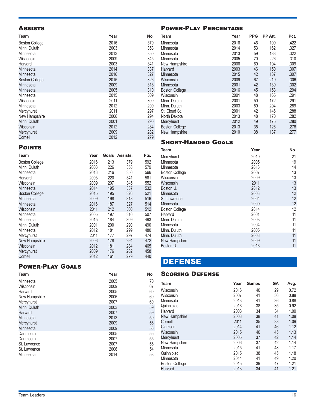#### **Assists**

| Team                  | Year | No. |
|-----------------------|------|-----|
| <b>Boston College</b> | 2016 | 379 |
| Minn. Duluth          | 2003 | 353 |
| Minnesota             | 2013 | 350 |
| Wisconsin             | 2009 | 345 |
| Harvard               | 2003 | 341 |
| Minnesota             | 2014 | 337 |
| <b>Minnesota</b>      | 2016 | 327 |
| <b>Boston College</b> | 2015 | 326 |
| Minnesota             | 2009 | 318 |
| <b>Minnesota</b>      | 2005 | 310 |
| Minnesota             | 2015 | 309 |
| Wisconsin             | 2011 | 300 |
| Minnesota             | 2012 | 299 |
| Mercyhurst            | 2011 | 297 |
| New Hampshire         | 2006 | 294 |
| Minn, Duluth          | 2001 | 290 |
| Wisconsin             | 2012 | 284 |
| Mercyhurst            | 2009 | 282 |
| Cornell               | 2012 | 279 |

### **POINTS**

| Team                  | Year | Goals | Assists. | Pts. |
|-----------------------|------|-------|----------|------|
| <b>Boston College</b> | 2016 | 213   | 379      | 592  |
| Minn, Duluth          | 2003 | 226   | 353      | 579  |
| Minnesota             | 2013 | 216   | 350      | 566  |
| Harvard               | 2003 | 220   | 341      | 561  |
| Wisconsin             | 2009 | 207   | 345      | 552  |
| Minnesota             | 2014 | 195   | 337      | 532  |
| <b>Boston College</b> | 2015 | 195   | 326      | 521  |
| Minnesota             | 2009 | 198   | 318      | 516  |
| Minnesota             | 2016 | 187   | 327      | 514  |
| Wisconsin             | 2011 | 212   | 300      | 512  |
| Minnesota             | 2005 | 197   | 310      | 507  |
| Minnesota             | 2015 | 184   | 309      | 493  |
| Minn, Duluth          | 2001 | 200   | 290      | 490  |
| Minnesota             | 2012 | 181   | 299      | 480  |
| Mercyhurst            | 2011 | 177   | 297      | 474  |
| New Hampshire         | 2006 | 178   | 294      | 472  |
| Wisconsin             | 2012 | 181   | 284      | 465  |
| Mercyhurst            | 2009 | 176   | 282      | 458  |
| Cornell               | 2012 | 161   | 279      | 440  |

### Power-Play Goals

| Team          | Year | No. |
|---------------|------|-----|
| Minnesota     | 2005 | 70  |
| Wisconsin     | 2009 | 67  |
| Harvard       | 2005 | 60  |
| New Hampshire | 2006 | 60  |
| Mercyhurst    | 2007 | 60  |
| Minn. Duluth  | 2003 | 59  |
| Harvard       | 2007 | 59  |
| Minnesota     | 2013 | 59  |
| Mercyhurst    | 2009 | 56  |
| Minnesota     | 2009 | 56  |
| Dartmouth     | 2005 | 55  |
| Dartmouth     | 2007 | 55  |
| St. Lawrence  | 2007 | 55  |
| St. Lawrence  | 2006 | 54  |
| Minnesota     | 2014 | 53  |

## Power-Play Percentage

| Team                  | Year | <b>PPG</b> | PP Att. | Pct. |
|-----------------------|------|------------|---------|------|
| Minnesota             | 2016 | 46         | 109     | .422 |
| Minnesota             | 2014 | 53         | 162     | .327 |
| Minnesota             | 2013 | 59         | 183     | .322 |
| Minnesota             | 2005 | 70         | 226     | .310 |
| New Hampshire         | 2006 | 60         | 194     | .309 |
| Harvard               | 2003 | 46         | 150     | .307 |
| Minnesota             | 2015 | 42         | 137     | .307 |
| Wisconsin             | 2009 | 67         | 219     | .306 |
| Minnesota             | 2001 | 42         | 139     | .302 |
| <b>Boston College</b> | 2016 | 45         | 153     | .294 |
| Wisconsin             | 2001 | 48         | 165     | .291 |
| Minn, Duluth          | 2001 | 50         | 172     | .291 |
| Minn. Duluth          | 2003 | 59         | 204     | .289 |
| St. Cloud St.         | 2001 | 42         | 146     | .288 |
| North Dakota          | 2013 | 48         | 170     | .282 |
| Mercyhurst            | 2012 | 49         | 175     | .280 |
| <b>Boston College</b> | 2013 | 35         | 126     | .278 |
| New Hampshire         | 2010 | 38         | 137     | .277 |

### Short-Handed Goals

| Team                  | Year | No.               |
|-----------------------|------|-------------------|
| Mercyhurst            | 2010 | 21                |
| Minnesota             | 2005 | 19                |
| Minnesota             | 2013 | 14                |
| <b>Boston College</b> | 2007 | 13                |
| Wisconsin             | 2009 | 13                |
| Wisconsin             | 2011 | 13                |
| Boston U.             | 2012 | 13                |
| Minnesota             | 2003 | $12 \overline{ }$ |
| St. Lawrence          | 2004 | $12 \overline{ }$ |
| <b>Minnesota</b>      | 2009 | 12                |
| <b>Boston College</b> | 2014 | 12                |
| Harvard               | 2001 | 11                |
| Minn. Duluth          | 2003 | 11                |
| Minnesota             | 2004 | 11                |
| Minn. Duluth          | 2005 | 11                |
| Minn, Duluth          | 2008 | 11                |
| New Hampshire         | 2009 | 11                |
| Boston U.             | 2016 | 11                |

## **DEFENSE**

### Scoring Defense

| Team                  | Year | Games | <b>GA</b> | Avg. |
|-----------------------|------|-------|-----------|------|
| Wisconsin             | 2016 | 40    | 29        | 0.72 |
| Wisconsin             | 2007 | 41    | 36        | 0.88 |
| Minnesota             | 2013 | 41    | 36        | 0.88 |
| Quinnipiac            | 2016 | 38    | 35        | 0.92 |
| Harvard               | 2008 | 34    | 34        | 1.00 |
| New Hampshire         | 2008 | 38    | 41        | 1.08 |
| Cornell               | 2011 | 35    | 38        | 1.09 |
| Clarkson              | 2014 | 41    | 46        | 1.12 |
| Wisconsin             | 2015 | 40    | 45        | 1.13 |
| Mercyhurst            | 2005 | 37    | 42        | 1.14 |
| New Hampshire         | 2006 | 37    | 42        | 1.14 |
| Minnesota             | 2015 | 41    | 48        | 1.17 |
| Quinnipiac            | 2015 | 38    | 45        | 1.18 |
| Minnesota             | 2014 | 41    | 49        | 1.20 |
| <b>Boston College</b> | 2015 | 39    | 47        | 1.21 |
| Harvard               | 2013 | 34    | 41        | 1.21 |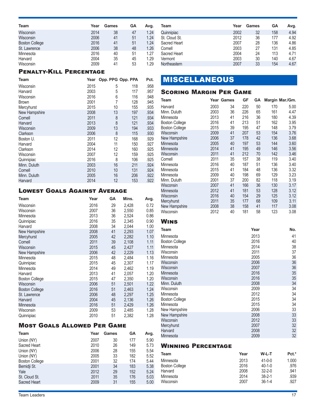| Team                  | Year | Games | GА | Avg. |
|-----------------------|------|-------|----|------|
| Wisconsin             | 2014 | 38    | 47 | 1.24 |
| Wisconsin             | 2006 | 41    | 51 | 1.24 |
| <b>Boston College</b> | 2016 | 41    | 51 | 1.24 |
| St. Lawrence          | 2006 | 38    | 48 | 1.26 |
| Minnesota             | 2016 | 40    | 51 | 1.27 |
| Harvard               | 2004 | 35    | 45 | 1.29 |
| Wisconsin             | 2009 | 41    | 53 | 1.29 |

## Penalty-Kill Percentage

| Team          | Year | Opp. PPG Opp. PPA |     | Pct. |
|---------------|------|-------------------|-----|------|
| Wisconsin     | 2015 | 5                 | 118 | .958 |
| Harvard       | 2003 | 5                 | 117 | .957 |
| Wisconsin     | 2016 | 6                 | 116 | .948 |
| Brown         | 2001 | 7                 | 128 | .945 |
| Mercyhurst    | 2015 | 10                | 155 | .935 |
| New Hampshire | 2008 | 13                | 197 | .934 |
| Cornell       | 2011 | 8                 | 121 | .934 |
| Harvard       | 2013 | 8                 | 121 | .934 |
| Wisconsin     | 2009 | 13                | 194 | .933 |
| Clarkson      | 2006 | 8                 | 115 | .930 |
| Boston U.     | 2011 | 12                | 168 | .929 |
| Harvard       | 2004 | 11                | 150 | .927 |
| Clarkson      | 2014 | 12                | 160 | .925 |
| Wisconsin     | 2007 | 12                | 159 | .925 |
| Quinnipiac    | 2016 | 8                 | 106 | .925 |
| Minn. Duluth  | 2003 | 16                | 211 | .924 |
| Cornell       | 2010 | 10                | 131 | .924 |
| Minn. Duluth  | 2005 | 16                | 206 | .922 |
| Harvard       | 2014 | 12                | 153 | .922 |

### Lowest Goals Against Average

| Team                  | Year | GА | Mins. | Avg. |
|-----------------------|------|----|-------|------|
| Wisconsin             | 2016 | 29 | 2,428 | 0.72 |
| Wisconsin             | 2007 | 36 | 2,550 | 0.85 |
| Minnesota             | 2013 | 36 | 2,524 | 0.86 |
| Quinnipiac            | 2016 | 35 | 2,345 | 0.90 |
| Harvard               | 2008 | 34 | 2,044 | 1.00 |
| New Hampshire         | 2008 | 41 | 2,293 | 1.07 |
| Mercyhurst            | 2005 | 42 | 2,282 | 1.10 |
| Cornell               | 2011 | 39 | 2,108 | 1.11 |
| Wisconsin             | 2015 | 45 | 2,427 | 1.11 |
| New Hampshire         | 2006 | 42 | 2,229 | 1.13 |
| Minnesota             | 2015 | 48 | 2,484 | 1.16 |
| Quinnipiac            | 2015 | 45 | 2,307 | 1.17 |
| Minnesota             | 2014 | 49 | 2,462 | 1.19 |
| Harvard               | 2013 | 41 | 2,057 | 1.20 |
| <b>Boston College</b> | 2015 | 47 | 2,350 | 1.20 |
| Wisconsin             | 2006 | 51 | 2,501 | 1.22 |
| <b>Boston College</b> | 2016 | 51 | 2,463 | 1.24 |
| St. Lawrence          | 2006 | 48 | 2,297 | 1.25 |
| Harvard               | 2004 | 45 | 2,136 | 1.26 |
| Minnesota             | 2016 | 51 | 2,429 | 1.26 |
| Wisconsin             | 2009 | 53 | 2,485 | 1.28 |
| Quinnipiac            | 2010 | 51 | 2,382 | 1.28 |

#### Most Goals Allowed Per Game

| Team                  | Year | Games | GA  | Avg. |
|-----------------------|------|-------|-----|------|
| Union (NY)            | 2007 | 30    | 177 | 5.90 |
| Sacred Heart          | 2010 | 26    | 149 | 5.73 |
| Union (NY)            | 2006 | 28    | 155 | 5.54 |
| Union (NY)            | 2005 | 33    | 182 | 5.52 |
| <b>Boston College</b> | 2001 | 32    | 174 | 5.44 |
| Bemidji St.           | 2001 | 34    | 183 | 5.38 |
| Yale                  | 2012 | 29    | 152 | 5.24 |
| St. Cloud St.         | 2011 | 35    | 176 | 5.03 |
| Sacred Heart          | 2009 | 31    | 155 | 5.00 |

| Team          | Year | Games | GA  | Avg. |
|---------------|------|-------|-----|------|
| Quinnipiac    | 2002 | 32    | 158 | 4.94 |
| St. Cloud St. | 2012 | 36    | 177 | 4.92 |
| Sacred Heart  | 2007 | 28    | 136 | 4.86 |
| Cornell       | 2003 | 27    | 131 | 4.85 |
| Sacred Heart  | 2004 | 24    | 113 | 4.71 |
| Vermont       | 2003 | 30    | 140 | 4.67 |
| Northeastern  | 2007 | 33    | 154 | 4.67 |

## MISCELLANEOUS

#### Scoring Margin Per Game

| Team                       |              | Year Games | GF         | GΑ           |            | Margin Mar./Gm. |
|----------------------------|--------------|------------|------------|--------------|------------|-----------------|
| Harvard                    | 2003         | 34         | 220        | 50           | 170        | 5.00            |
| Minn. Duluth<br>Minnesota  | 2003<br>2013 | 36<br>41   | 226<br>216 | 65<br>36     | 161<br>180 | 4.47<br>4.39    |
| <b>Boston College</b>      | 2016         | 41         | 213        | 51           | 162        | 3.95            |
| <b>Boston College</b>      | 2015         | 39         | 195        | 47           | 148        | 3.79            |
| Wisconsin                  | 2009         | 41         | 207        | 53           | 154        | 3.76            |
| New Hampshire              | 2006         | 37         | 178        | 42           | 136        | 3.68            |
| Minnesota                  | 2005         | 40         | 197        | 53           | 144        | 3.60            |
| Minnesota<br>Wisconsin     | 2014<br>2011 | 41<br>41   | 195<br>212 | 49<br>70     | 146<br>142 | 3.56<br>3.46    |
| Cornell                    | 2011         | 35         | 157        | 38           | 119        | 3.40            |
| Minnesota                  | 2016         | 40         | 187        | 51           | 136        | 3.40            |
| Minnesota                  | 2015         | 41         | 184        | 48           | 136        | 3.32            |
| Minnesota                  | 2009         | 40         | 198        | 69           | 129        | 3.23            |
| Minn. Duluth<br>Wisconsin  | 2001<br>2007 | 37<br>41   | 200<br>166 | 82<br>36     | 118<br>130 | 3.19<br>3.17    |
| Minnesota                  | 2012         | 41         | 181        | 53           | 128        | 3.12            |
| Wisconsin                  | 2016         | 40         | 154        | 29           | 125        | 3.12            |
| Mercyhurst                 | 2011         | 35         | 177        | 68           | 109        | 3.11            |
| New Hampshire              | 2008         | 38         | 158        | 41           | 117        | 3.08            |
| Wisconsin                  | 2012         | 40         | 181        | 58           | 123        | 3.08            |
| <b>WINS</b>                |              |            |            |              |            |                 |
| Team                       |              |            |            | Year         |            | No.             |
| Minnesota                  |              |            |            | 2013         |            | 41              |
| <b>Boston College</b>      |              |            |            | 2016         |            | 40              |
| Minnesota<br>Wisconsin     |              |            |            | 2014<br>2011 |            | 38<br>37        |
| Minnesota                  |              |            |            | 2005         |            | 36              |
| Wisconsin                  |              |            |            | 2006         |            | 36              |
| Wisconsin                  |              |            |            | 2007         |            | 36              |
| Minnesota                  |              |            |            | 2016         |            | 35              |
| Wisconsin                  |              |            |            | 2016<br>2008 |            | 35<br>34        |
| Minn. Duluth<br>Wisconsin  |              |            |            | 2009         |            | 34              |
| Minnesota                  |              |            |            | 2012         |            | 34              |
| <b>Boston College</b>      |              |            |            | 2015         |            | 34              |
| Minnesota                  |              |            |            | 2015         |            | 34              |
| New Hampshire              |              |            |            | 2006         |            | 33              |
| New Hampshire<br>Wisconsin |              |            |            | 2008<br>2012 |            | 33<br>33        |
| Mercyhurst                 |              |            |            | 2007         |            | 32              |
| Harvard                    |              |            |            | 2008         |            | 32              |
| Minnesota                  |              |            |            | 2009         |            | 32              |

#### Winning Percentage

| Team                  | Year | W-L-T        | $Pct.*$ |
|-----------------------|------|--------------|---------|
| Minnesota             | 2013 | $41 - 0 - 0$ | 1.000   |
| <b>Boston College</b> | 2016 | $40 - 1 - 0$ | .976    |
| Harvard               | 2008 | $32 - 2 - 0$ | .941    |
| Minnesota             | 2014 | $38 - 2 - 1$ | .939    |
| Wisconsin             | 2007 | $36 - 1 - 4$ | .927    |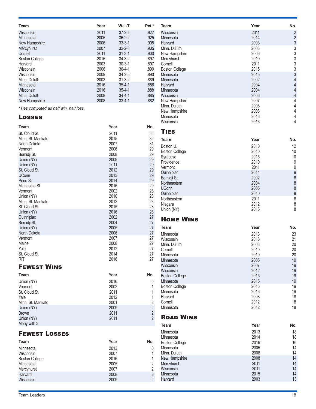| <b>Team</b>           | Year | W-L-T        | Pct.* |
|-----------------------|------|--------------|-------|
| Wisconsin             | 2011 | $37 - 2 - 2$ | .927  |
| Minnesota             | 2005 | $36 - 2 - 2$ | .925  |
| New Hampshire         | 2006 | $33 - 3 - 1$ | .905  |
| Mercyhurst            | 2007 | $32 - 2 - 3$ | .905  |
| Cornell               | 2011 | $31 - 3 - 1$ | .900  |
| <b>Boston College</b> | 2015 | $34 - 3 - 2$ | .897  |
| Harvard               | 2003 | $30 - 3 - 1$ | .897  |
| Wisconsin             | 2006 | $36 - 4 - 1$ | .890  |
| Wisconsin             | 2009 | $34 - 2 - 5$ | .890  |
| Minn. Duluth          | 2003 | $31 - 3 - 2$ | .889  |
| Minnesota             | 2016 | $35 - 4 - 1$ | .888  |
| Wisconsin             | 2016 | $35 - 4 - 1$ | .888  |
| Minn. Duluth          | 2008 | $34 - 4 - 1$ | .885  |
| New Hampshire         | 2008 | $33 - 4 - 1$ | .882  |

*\*Ties computed as half win, half loss.*

#### Losses

| <b>Team</b>                        | Year         | No.            |
|------------------------------------|--------------|----------------|
| St. Cloud St.<br>Minn. St. Mankato | 2011<br>2015 | 33<br>32       |
| North Dakota                       | 2007         | 31             |
| Vermont<br>Bemidji St.             | 2006<br>2008 | 29<br>29       |
| Union (NY)                         | 2009         | 29             |
| Union (NY)                         | 2011<br>2012 | 29<br>29       |
| St. Cloud St.<br><b>UConn</b>      | 2013         | 29             |
| Penn St.                           | 2014         | 29             |
| Minnesota St.<br>Vermont           | 2016<br>2002 | 29<br>28       |
| Union (NY)                         | 2010         | 28             |
| Minn. St. Mankato                  | 2012         | 28             |
| St. Cloud St.<br>Union (NY)        | 2015<br>2016 | 28<br>28       |
| Quinnipiac                         | 2002         | 27             |
| Bemidji St.                        | 2004         | 27             |
| Union (NY)<br>North Dakota         | 2005<br>2006 | 27<br>27       |
| Vermont                            | 2007         | 27             |
| Maine                              | 2008         | 27             |
| Yale<br>St. Cloud St.              | 2012<br>2014 | 27<br>27       |
| <b>RIT</b>                         | 2016         | 27             |
| <b>FEWEST WINS</b>                 |              |                |
| <b>Team</b>                        | Year         | No.            |
| Union (NY)                         | 2016         | 0              |
| Vermont<br>St. Cloud St.           | 2002<br>2011 | 1<br>1         |
| Yale                               | 2012         | $\overline{1}$ |
| Minn. St. Mankato                  | 2001         | $\frac{2}{2}$  |
| Union (NY)<br><b>Brown</b>         | 2009<br>2011 | $\overline{2}$ |
| Union (NY)                         | 2011         | $\overline{2}$ |
| Many with 3                        |              |                |
| <b>FEWEST LOSSES</b>               |              |                |
| <b>Team</b>                        | Year         | No.            |
| Minnesota                          | 2013         | $\mathbf{0}$   |

0

| Team                  | Year | No.            |
|-----------------------|------|----------------|
| Minnesota             | 2013 | 0              |
| Wisconsin             | 2007 | 1              |
| <b>Boston College</b> | 2016 | 1              |
| Minnesota             | 2005 | 2              |
| Mercyhurst            | 2007 | 2              |
| Harvard               | 2008 | $\overline{2}$ |
| Wisconsin             | 2009 | $\overline{2}$ |
|                       |      |                |

| Team                               | Year         | No.                              |
|------------------------------------|--------------|----------------------------------|
| Wisconsin                          | 2011         | $\overline{c}$                   |
| Minnesota<br>Harvard               | 2014<br>2003 | $\overline{c}$<br>3              |
| Minn. Duluth                       | 2003         |                                  |
| New Hampshire                      | 2006         |                                  |
| Mercyhurst                         | 2010         |                                  |
| Cornell<br><b>Boston College</b>   | 2011<br>2015 | 3333333                          |
| Minnesota                          | 2015         |                                  |
| Minnesota                          | 2002         | $\overline{4}$                   |
| Harvard                            | 2004         | $\overline{4}$<br>$\overline{4}$ |
| Minnesota<br>Wisconsin             | 2004<br>2006 | $\overline{4}$                   |
| New Hampshire                      | 2007         | 4                                |
| Minn. Duluth                       | 2008         | $\overline{4}$                   |
| New Hampshire                      | 2008<br>2016 | 4<br>4                           |
| Minnesota<br>Wisconsin             | 2016         | 4                                |
|                                    |              |                                  |
| TIES<br>Team                       | Year         | No.                              |
| Boston U.                          | 2010         | 12                               |
| <b>Boston College</b>              | 2010         | 10                               |
| Syracuse                           | 2015         | 10                               |
| Providence                         | 2010         | 9                                |
| Vermont<br>Quinnipiac              | 2011<br>2014 | 9<br>9                           |
| Bemidji St.                        | 2002         | 8                                |
| Northeastern                       | 2004         | $\overline{8}$                   |
| <b>UConn</b>                       | 2005<br>2010 | 8<br>8                           |
| Quinnipiac<br>Northeastern         | 2011         | 8                                |
| Niagara                            | 2012         | 8                                |
| Union (NY)                         | 2015         | 8                                |
| <b>HOME WINS</b>                   |              |                                  |
| <b>Team</b>                        | Year         | No.                              |
| Minnesota                          | 2013         | 23                               |
| Wisconsin<br>Minn, Duluth          | 2016<br>2008 | 21<br>20                         |
| Cornell                            | 2010         | 20                               |
| Minnesota                          | 2010         | 20                               |
| Minnesota                          | 2005         | 19                               |
| Wisconsin<br>Wisconsin             | 2007<br>2012 | 19<br>19                         |
| <b>Boston College</b>              | 2015         | 19                               |
| Minnesota                          | 2015         | 19                               |
| <b>Boston College</b><br>Minnesota | 2016<br>2016 | 19<br>19                         |
| Harvard                            | 2008         | 18                               |
| Cornell                            | 2012         | 18                               |
| Minnesota                          | 2012         | 18                               |
| <b>ROAD WINS</b>                   |              |                                  |
| Team                               | Year         | No.                              |
| Minnesota                          | 2013         | 18                               |
| Minnesota<br><b>Boston College</b> | 2014<br>2016 | 18<br>16                         |
| Minnesota                          | 2005         | 14                               |
| Minn. Duluth                       | 2008         | 14                               |
| New Hampshire<br>Mercyhurst        | 2008<br>2011 | 14<br>14                         |
| Wisconsin                          | 2011         | 14                               |
| Minnesota                          | 2015         | 14                               |
| Harvard                            | 2003         | 13                               |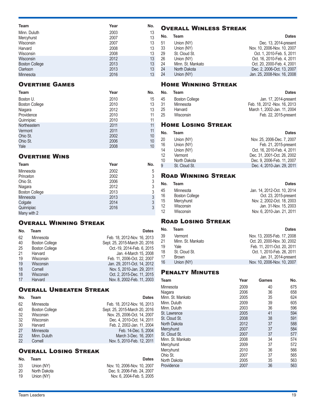| Team                  | Year | No. |
|-----------------------|------|-----|
| Minn. Duluth          | 2003 | 13  |
| Mercyhurst            | 2007 | 13  |
| Wisconsin             | 2007 | 13  |
| Harvard               | 2008 | 13  |
| Wisconsin             | 2008 | 13  |
| Wisconsin             | 2012 | 13  |
| <b>Boston College</b> | 2013 | 13  |
| Clarkson              | 2013 | 13  |
| Minnesota             | 2016 | 13  |

### **OVERTIME GAMES**

| <b>Team</b>           | Year | No. |
|-----------------------|------|-----|
| Boston U.             | 2010 | 15  |
| <b>Boston College</b> | 2010 | 13  |
| Niagara               | 2012 | 13  |
| Providence            | 2010 | 11  |
| Quinnipiac            | 2010 | 11  |
| Northeastern          | 2011 | 11  |
| Vermont               | 2011 | 11  |
| Ohio St.              | 2002 | 10  |
| Ohio St.              | 2006 | 10  |
| Yale                  | 2008 | 10  |

## **OVERTIME WINS**

| Team                  | Year | No. |
|-----------------------|------|-----|
| Minnesota             | 2002 | 5   |
| Princeton             | 2002 | 3   |
| Ohio St.              | 2006 | 3   |
| Niagara               | 2012 | 3   |
| <b>Boston College</b> | 2013 | 3   |
| Minnesota             | 2013 | 3   |
| Colgate               | 2014 | 3   |
| Quinnipiac            | 2016 | 3   |
| Many with 2           |      |     |

## Overall Winning Streak

| No. | Team                  | <b>Dates</b>                  |
|-----|-----------------------|-------------------------------|
| 62  | Minnesota             | Feb. 18, 2012-Nov. 16, 2013   |
| 40  | <b>Boston College</b> | Sept. 25, 2015-March 20, 2016 |
| 25  | <b>Boston College</b> | Oct.-19, 2014-Feb. 6, 2015    |
| 21  | Harvard               | Jan. 4-March 15, 2008         |
| 19  | Wisconsin             | Feb. 11, 2006-Oct. 22, 2007   |
| 19  | Wisconsin             | Jan. 29, 2011-Oct. 14, 2012   |
| 18  | Cornell               | Nov. 5, 2010-Jan. 29, 2011    |
| 18  | Wisconsin             | Oct. 2, 2015-Dec. 11, 2015    |
| 17  | Harvard               | Nov. 8, 2002-Feb. 11, 2003    |

## Overall Unbeaten Streak

| No. | Team                  | <b>Dates</b>                  |
|-----|-----------------------|-------------------------------|
| 62  | Minnesota             | Feb. 18, 2012-Nov. 16, 2013   |
| 40  | <b>Boston College</b> | Sept. 25, 2015-March 20, 2016 |
| 32  | Wisconsin             | Nov. 25, 2006-Oct. 14, 2007   |
| 32  | Wisconsin             | Dec. 4, 2010-Oct. 14, 2011    |
| 30  | Harvard               | Feb. 2, 2002-Jan. 11, 2004    |
| 27  | Minnesota             | Feb. 14-Dec. 5, 2004          |
| 22  | Minn. Duluth          | March 3-Dec. 16, 2001         |
| 22  | Cornell               | Nov. 5, 2010-Feb. 12, 2011    |

## Overall Losing Streak

| No. | Team         | <b>Dates</b>                |
|-----|--------------|-----------------------------|
| 33  | Union (NY)   | Nov. 10, 2006-Nov. 10, 2007 |
| 20  | North Dakota | Dec. 9. 2006-Feb. 24, 2007  |
| 19  | Union (NY)   | Nov. 6, 2004-Feb. 5, 2005   |

## Overall Winless Streak

| No. | Team              | <b>Dates</b>                |
|-----|-------------------|-----------------------------|
| 51  | Union (NY)        | Dec. 13, 2014-present       |
| 33  | Union (NY)        | Nov. 10, 2006-Nov. 10, 2007 |
| 29  | St. Cloud St.     | Oct. 1, 2010-Feb. 5, 2011   |
| 26  | Union (NY)        | Oct. 16, 2010-Feb. 4, 2011  |
| 24  | Minn. St. Mankato | Oct. 20, 2000-Feb. 4, 2001  |
| 24  | North Dakota      | Dec. 2, 2006-Oct. 13, 2007  |
| 24  | Union (NY)        | Jan. 25, 2008-Nov. 16, 2008 |

## Home Winning Streak

#### **No. Team Dates** 45 Boston College Jan. 17, 2014-present<br>31 Minnesota Jan. 18, 2012 -Nov. 16, 2013 31 Minnesota Feb. 18, 2012 -Nov. 16, 2013 25 Harvard March 1, 2002-Jan. 11, 2004 Feb. 22, 2015-present

## Home Losing Streak

| No. | Team          | <b>Dates</b>                |
|-----|---------------|-----------------------------|
| 20  | Union (NY)    | Nov. 25, 2006-Dec. 7, 2007  |
| 16  | Union (NY)    | Feb. 21, 2015-present       |
| 14  | Union (NY)    | Oct. 16, 2010-Feb. 4, 2011  |
| 12  | Vermont       | Dec. 31, 2001-Oct. 26, 2002 |
| 10  | North Dakota  | Dec. 9, 2006-Feb. 11, 2007  |
| 9   | St. Cloud St. | Dec. 4, 2010-Jan. 29, 2011  |

## Road Winning Streak

| Team                  | <b>Dates</b>                |
|-----------------------|-----------------------------|
| Minnesota             | Jan. 14, 2012-Oct. 10, 2014 |
| <b>Boston College</b> | Oct. 23, 2015-present       |
| Mercyhurst            | Nov. 2. 2002-Oct. 18, 2003  |
| Wisconsin             | Jan. 31-Nov. 15, 2003       |
| Wisconsin             | Nov. 6, 2010-Jan. 21, 2011  |
|                       |                             |

## Road Losing Streak

| No. | Team              | <b>Dates</b>                |
|-----|-------------------|-----------------------------|
| 39  | Vermont           | Nov. 13, 2005-Feb. 17, 2008 |
| 21  | Minn. St. Mankato | Oct. 20. 2000-Nov. 30. 2002 |
| 19  | Yale              | Feb. 11, 2011-Oct. 20, 2011 |
| 18  | St. Cloud St.     | Oct. 1, 2010-Feb. 26, 2011  |
| 17  | <b>Brown</b>      | Jan. 31, 2014-present       |
| 16  | Union (NY)        | Nov. 10, 2006-Nov. 10, 2007 |
|     |                   |                             |

## Penalty Minutes

| Team              | Year | <b>Games</b> | No. |
|-------------------|------|--------------|-----|
| Minnesota         | 2009 | 40           | 675 |
| Niagara           | 2006 | 36           | 658 |
| Minn, St. Mankato | 2005 | 35           | 624 |
| Minn. Duluth      | 2009 | 39           | 605 |
| Minn. Duluth      | 2003 | 36           | 596 |
| St. Lawrence      | 2005 | 41           | 594 |
| St. Cloud St.     | 2008 | 38           | 591 |
| North Dakota      | 2012 | 37           | 588 |
| Mercyhurst        | 2007 | 37           | 584 |
| St. Cloud St.     | 2007 | 37           | 577 |
| Minn. St. Mankato | 2008 | 34           | 574 |
| Mercyhurst        | 2009 | 37           | 572 |
| Mercyhurst        | 2010 | 36           | 566 |
| Ohio St.          | 2007 | 37           | 565 |
| North Dakota      | 2005 | 35           | 563 |
| Providence        | 2007 | 36           | 563 |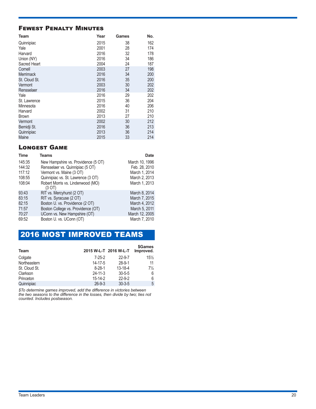#### Fewest Penalty Minutes

| Team          | Year | Games | No. |
|---------------|------|-------|-----|
| Quinnipiac    | 2015 | 38    | 162 |
| Yale          | 2001 | 28    | 174 |
| Harvard       | 2016 | 32    | 178 |
| Union (NY)    | 2016 | 34    | 186 |
| Sacred Heart  | 2004 | 24    | 187 |
| Cornell       | 2003 | 27    | 198 |
| Merrimack     | 2016 | 34    | 200 |
| St. Cloud St. | 2016 | 35    | 200 |
| Vermont       | 2003 | 30    | 202 |
| Rensselaer    | 2016 | 34    | 202 |
| Yale          | 2016 | 29    | 202 |
| St. Lawrence  | 2015 | 36    | 204 |
| Minnesota     | 2016 | 40    | 206 |
| Harvard       | 2002 | 31    | 210 |
| Brown         | 2013 | 27    | 210 |
| Vermont       | 2002 | 30    | 212 |
| Bemidji St.   | 2016 | 36    | 213 |
| Quinnipiac    | 2013 | 36    | 214 |
| Maine         | 2015 | 33    | 214 |

#### Longest Game

| Teams                                       | <b>Date</b>    |
|---------------------------------------------|----------------|
| New Hampshire vs. Providence (5 OT)         | March 10, 1996 |
| Rensselaer vs. Quinnipiac (5 OT)            | Feb. 28, 2010  |
| Vermont vs. Maine (3 OT)                    | March 1, 2014  |
| Quinnipiac vs. St. Lawrence (3 OT)          | March 2, 2013  |
| Robert Morris vs. Lindenwood (MO)<br>(3 OT) | March 1, 2013  |
| RIT vs. Mercyhurst (2 OT)                   | March 8, 2014  |
| RIT vs. Syracuse (2 OT)                     | March 7, 2015  |
| Boston U. vs. Providence (2 OT)             | March 4, 2012  |
| Boston College vs. Providence (OT)          | March 5, 2011  |
| UConn vs. New Hampshire (OT)                | March 12, 2005 |
| Boston U. vs. UConn (OT)                    | March 7, 2010  |
|                                             |                |

## 2016 MOST IMPROVED TEAMS

| Team          |               | 2015 W-L-T 2016 W-L-T | \$Games<br>Improved. |
|---------------|---------------|-----------------------|----------------------|
| Colgate       | 7-25-2        | $22 - 9 - 7$          | $15\frac{1}{2}$      |
| Northeastern  | 14-17-5       | $28 - 9 - 1$          | 11                   |
| St. Cloud St. | $8-28-1$      | 13-18-4               | $7\frac{1}{2}$       |
| Clarkson      | $24 - 11 - 3$ | $30 - 5 - 5$          | 6                    |
| Princeton     | $15 - 14 - 2$ | $22 - 9 - 2$          | 6                    |
| Quinnipiac    | $26 - 9 - 3$  | $30 - 3 - 5$          | 5                    |

*\$To determine games improved, add the difference in victories between the two seasons to the difference in the losses, then divide by two; ties not counted. Includes postseason.*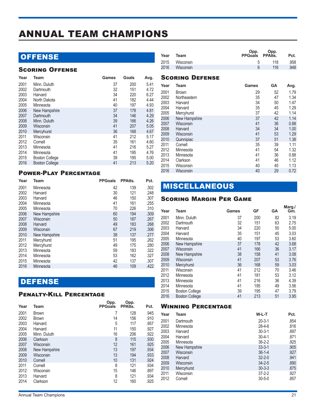## ANNUAL TEAM CHAMPIONS

## **OFFENSE**

#### Scoring Offense

| Year | Team                  | Games | Goals | Avg. |
|------|-----------------------|-------|-------|------|
| 2001 | Minn. Duluth          | 37    | 200   | 5.41 |
| 2002 | Dartmouth             | 32    | 151   | 4.72 |
| 2003 | Harvard               | 34    | 220   | 6.27 |
| 2004 | North Dakota          | 41    | 182   | 4.44 |
| 2005 | Minnesota             | 40    | 197   | 4.93 |
| 2006 | New Hampshire         | 37    | 178   | 4.81 |
| 2007 | Dartmouth             | 34    | 146   | 4.29 |
| 2008 | Minn. Duluth          | 39    | 166   | 4.26 |
| 2009 | Wisconsin             | 41    | 207   | 5.05 |
| 2010 | Mercyhurst            | 36    | 168   | 4.67 |
| 2011 | Wisconsin             | 41    | 212   | 5.17 |
| 2012 | Cornell               | 35    | 161   | 4.60 |
| 2013 | Minnesota             | 41    | 216   | 5.27 |
| 2014 | Minnesota             | 41    | 195   | 4.76 |
| 2015 | <b>Boston College</b> | 39    | 195   | 5.00 |
| 2016 | <b>Boston College</b> | 41    | 213   | 5.20 |

#### Power-Play Percentage

| Year | Team          | <b>PPGoals</b> | <b>PPAtts.</b> | Pct. |
|------|---------------|----------------|----------------|------|
| 2001 | Minnesota     | 42             | 139            | .302 |
| 2002 | Harvard       | 30             | 121            | .248 |
| 2003 | Harvard       | 46             | 150            | .307 |
| 2004 | Minnesota     | 41             | 161            | .255 |
| 2005 | Minnesota     | 70             | 226            | .310 |
| 2006 | New Hampshire | 60             | 194            | .309 |
| 2007 | Wisconsin     | 50             | 187            | .267 |
| 2008 | Harvard       | 49             | 183            | .268 |
| 2009 | Wisconsin     | 67             | 219            | .306 |
| 2010 | New Hampshire | 38             | 137            | .277 |
| 2011 | Mercyhurst    | 51             | 195            | .262 |
| 2012 | Mercyhurst    | 49             | 175            | .280 |
| 2013 | Minnesota     | 59             | 183            | .322 |
| 2014 | Minnesota     | 53             | 162            | .327 |
| 2015 | Minnesota     | 42             | 137            | .307 |
| 2016 | Minnesota     | 46             | 109            | .422 |

## **DEFENSE**

#### Penalty-Kill Percentage

| Year | Team          | Opp.<br><b>PPGoals</b> | Opp.<br><b>PPAtts.</b> | Pct. |
|------|---------------|------------------------|------------------------|------|
| 2001 | <b>Brown</b>  |                        | 128                    | .945 |
| 2002 | <b>Brown</b>  | 14                     | 156                    | .910 |
| 2003 | Harvard       | 5                      | 117                    | .957 |
| 2004 | Harvard       | 11                     | 150                    | .927 |
| 2005 | Minn. Duluth  | 16                     | 206                    | .922 |
| 2006 | Clarkson      | 8                      | 115                    | .930 |
| 2007 | Wisconsin     | 12                     | 161                    | .925 |
| 2008 | New Hampshire | 13                     | 197                    | .934 |
| 2009 | Wisconsin     | 13                     | 194                    | .933 |
| 2010 | Cornell       | 10                     | 131                    | .924 |
| 2011 | Cornell       | 8                      | 121                    | .934 |
| 2012 | Wisconsin     | 15                     | 146                    | .897 |
| 2013 | Harvard       | 8                      | 121                    | .934 |
| 2014 | Clarkson      | 12                     | 160                    | .925 |

| Year | Team           | Opp.<br><b>PPGoals PPAtts.</b> | Opp. | Pct. |
|------|----------------|--------------------------------|------|------|
|      | 2015 Wisconsin |                                | 118  | .958 |
| 2016 | Wisconsin      |                                | 116  | .948 |
|      |                |                                |      |      |

### Scoring Defense

| Year | Team          | Games | GΑ | Avg. |
|------|---------------|-------|----|------|
| 2001 | <b>Brown</b>  | 29    | 52 | 1.79 |
| 2002 | Northeastern  | 35    | 47 | 1.34 |
| 2003 | Harvard       | 34    | 50 | 1.47 |
| 2004 | Harvard       | 35    | 45 | 1.29 |
| 2005 | Mercyhurst    | 37    | 42 | 1.14 |
| 2006 | New Hampshire | 37    | 42 | 1.14 |
| 2007 | Wisconsin     | 41    | 36 | 0.88 |
| 2008 | Harvard       | 34    | 34 | 1.00 |
| 2009 | Wisconsin     | 41    | 53 | 1.29 |
| 2010 | Quinnipiac    | 37    | 51 | 1.38 |
| 2011 | Cornell       | 35    | 39 | 1.11 |
| 2012 | Minnesota     | 41    | 54 | 1.32 |
| 2013 | Minnesota     | 41    | 36 | 0.88 |
| 2014 | Clarkson      | 41    | 46 | 1.12 |
| 2015 | Wisconsin     | 40    | 45 | 1.13 |
| 2016 | Wisconsin     | 40    | 29 | 0.72 |

## MISCELLANEOUS

#### Scoring Margin Per Game

| Year | Team                  | Games | GF  | GA | Marg./<br>Gm. |
|------|-----------------------|-------|-----|----|---------------|
| 2001 | Minn. Duluth          | 37    | 200 | 82 | 3.19          |
| 2002 | Dartmouth             | 32    | 151 | 63 | 2.75          |
| 2003 | Harvard               | 34    | 220 | 50 | 5.00          |
| 2004 | Harvard               | 35    | 151 | 45 | 3.03          |
| 2005 | Minnesota             | 40    | 197 | 53 | 3.60          |
| 2006 | New Hampshire         | 37    | 178 | 42 | 3.68          |
| 2007 | Wisconsin             | 41    | 166 | 36 | 3.17          |
| 2008 | New Hampshire         | 38    | 158 | 41 | 3.08          |
| 2009 | Wisconsin             | 41    | 207 | 53 | 3.76          |
| 2010 | Mercyhurst            | 36    | 168 | 59 | 3.03          |
| 2011 | Wisconsin             | 41    | 212 | 70 | 3.46          |
| 2012 | Minnesota             | 41    | 181 | 53 | 3.12          |
| 2013 | Minnesota             | 41    | 216 | 36 | 4.39          |
| 2014 | Minnesota             | 41    | 195 | 49 | 3.56          |
| 2015 | <b>Boston College</b> | 39    | 195 | 47 | 3.79          |
| 2016 | <b>Boston College</b> | 41    | 213 | 51 | 3.95          |

#### WINNING PERCENTAGE

| Year | Team          | W-L-T        | Pct. |
|------|---------------|--------------|------|
| 2001 | Dartmouth     | $20 - 3 - 1$ | .854 |
| 2002 | Minnesota     | $28 - 4 - 6$ | .816 |
| 2003 | Harvard       | $30 - 3 - 1$ | .897 |
| 2004 | Harvard       | $30 - 4 - 1$ | .871 |
| 2005 | Minnesota     | $36 - 2 - 2$ | .925 |
| 2006 | New Hampshire | $33 - 3 - 1$ | .905 |
| 2007 | Wisconsin     | $36-1-4$     | .927 |
| 2008 | Harvard       | $32 - 2 - 0$ | .941 |
| 2009 | Wisconsin     | $34 - 2 - 5$ | .890 |
| 2010 | Mercyhurst    | $30 - 3 - 3$ | .875 |
| 2011 | Wisconsin     | $37 - 2 - 2$ | .927 |
| 2012 | Cornell       | $30 - 5 - 0$ | .857 |
|      |               |              |      |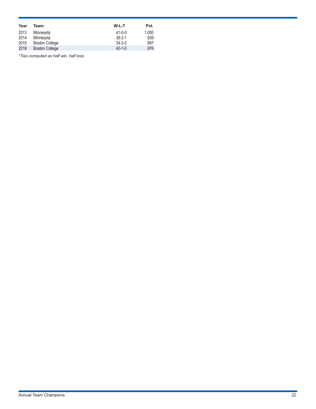| Year | Team                  | W-L-T        | Pct.  |
|------|-----------------------|--------------|-------|
| 2013 | Minnesota             | $41 - 0 - 0$ | 1.000 |
| 2014 | Minnesota             | $38 - 2 - 1$ | .939  |
| 2015 | <b>Boston College</b> | $34 - 3 - 2$ | .897  |
| 2016 | <b>Boston College</b> | $40 - 1 - 0$ | .976  |

*\*Ties computed as half win, half loss.*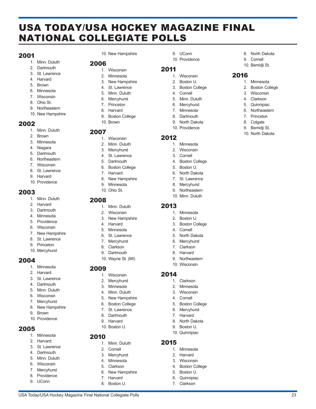## USA TODAY/USA HOCKEY MAGAZINE FINAL NATIONAL COLLEGIATE POLLS

9. UConn 10. Providence 8. North Dakota 9. Cornell 10. Bemidji St.

1. Minnesota 2. Boston College 3. Wisconsin 4. Clarkson 5. Quinnipiac 6. Northeastern 7. Princeton 8. Colgate 9. Bemidji St. 10. North Dakota

2016

1. Wisconsin 2. Boston U. 3. Boston College 4. Cornell 5. Minn. Duluth 6. Mercyhurst 7. Minnesota 8. Dartmouth 9. North Dakota 10. Providence

1. Minnesota 2. Wisconsin 3. Cornell 4. Boston College 5. Boston U. 6. North Dakota 7. St. Lawrence 8. Mercyhurst 9. Northeastern 10. Minn. Duluth

1. Minnesota 2. Boston U. 3. Boston College 4. Cornell 5. North Dakota 6. Mercyhurst 7. Clarkson 8. Harvard 9. Northeastern 10. Wisconsin

1. Clarkson 2. Minnesota 3. Wisconsin 4. Cornell 5. Boston College 6. Mercyhurst 7. Harvard 8. North Dakota 9. Boston U. 10. Quinnipiac

1. Minnesota 2. Harvard 3. Wisconsin 4. Boston College 5. Boston U. 6. Quinnipiac 7. Clarkson

2011

2012

2013

2014

2015

#### 2001

- 1. Minn. Duluth
- 2. Dartmouth
- 3. St. Lawrence
- 4. Harvard
- 5. Brown
- 6. Minnesota
- 7. Wisconsin
- 8. Ohio St.
- 9. Northeastern
- 10. New Hampshire

#### 2002

- 1. Minn. Duluth
- 2. Brown
- 3. Minnesota
- 4. Niagara
- 5. Dartmouth
- 6. Northeastern
- 7. Wisconsin
- 8. St. Lawrence
- 9. Harvard
- 10. Providence

#### 2003

- 1. Minn. Duluth
- 2. Harvard
- 3. Dartmouth
- 4. Minnesota
- 5. Providence
- 6. Wisconsin
- 7. New Hampshire
- 8. St. Lawrence
- 9. Princeton
- 10. Mercyhurst

#### 2004

- 1. Minnesota
- 2. Harvard
- 3. St. Lawrence
- 4. Dartmouth
- 5. Minn. Duluth
- 6. Wisconsin
- 7. Mercyhurst
- 8. New Hampshire
- 9. Brown
- 10. Providence

#### 2005

- 1. Minnesota
- 2. Harvard
- 3. St. Lawrence
- 4. Dartmouth
- 5. Minn. Duluth
- 6. Wisconsin
- 7. Mercyhurst
- 8. Providence
- 9. UConn

10. New Hampshire

#### 2006

- 1. Wisconsin
- 2. Minnesota
- 3. New Hampshire
- 4. St. Lawrence
- 5. Minn. Duluth
- 6. Mercyhurst
- 7. Princeton
- 8. Harvard
- 9. Boston College
- 10. Brown

#### 2007

- 1. Wisconsin
- 2. Minn. Duluth
- 3. Mercyhurst
- 4. St. Lawrence
- 5. Dartmouth
- 6. Boston College
- 7. Harvard
- 8. New Hampshire
- 9. Minnesota
- 10. Ohio St.

#### 2008

- 1. Minn. Duluth
- 2. Wisconsin
- 3. New Hampshire
- 4. Harvard
- 5. Minnesota
- 6. St. Lawrence
- 7. Mercyhurst
- 8. Clarkson
- 9. Dartmouth
- 10. Wayne St. (MI)

#### 2009

2010

- 1. Wisconsin
- 2. Mercyhurst
- 3. Minnesota
- 4. Minn. Duluth
- 5. New Hampshire
- 6. Boston College

USA Today/USA Hockey Magazine Final National Collegiate Polls 23

- 7. St. Lawrence 8. Dartmouth
- 9. Harvard
- 
- 10. Boston U.

1. Minn. Duluth 2. Cornell 3. Mercyhurst 4. Minnesota 5. Clarkson 6. New Hampshire 7. Harvard 8. Boston U.